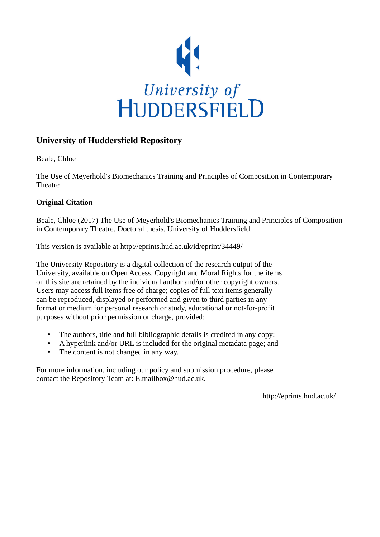

### **University of Huddersfield Repository**

Beale, Chloe

The Use of Meyerhold's Biomechanics Training and Principles of Composition in Contemporary **Theatre** 

#### **Original Citation**

Beale, Chloe (2017) The Use of Meyerhold's Biomechanics Training and Principles of Composition in Contemporary Theatre. Doctoral thesis, University of Huddersfield.

This version is available at http://eprints.hud.ac.uk/id/eprint/34449/

The University Repository is a digital collection of the research output of the University, available on Open Access. Copyright and Moral Rights for the items on this site are retained by the individual author and/or other copyright owners. Users may access full items free of charge; copies of full text items generally can be reproduced, displayed or performed and given to third parties in any format or medium for personal research or study, educational or not-for-profit purposes without prior permission or charge, provided:

- The authors, title and full bibliographic details is credited in any copy;
- A hyperlink and/or URL is included for the original metadata page; and
- The content is not changed in any way.

For more information, including our policy and submission procedure, please contact the Repository Team at: E.mailbox@hud.ac.uk.

http://eprints.hud.ac.uk/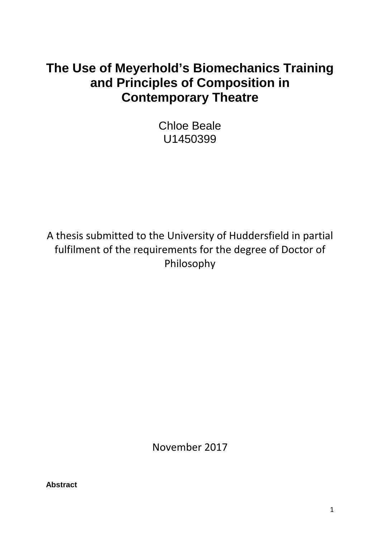# **The Use of Meyerhold's Biomechanics Training and Principles of Composition in Contemporary Theatre**

Chloe Beale U1450399

A thesis submitted to the University of Huddersfield in partial fulfilment of the requirements for the degree of Doctor of Philosophy

November 2017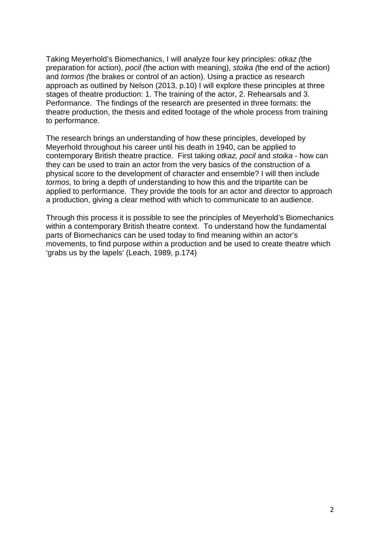Taking Meyerhold's Biomechanics, I will analyze four key principles: *otkaz (*the preparation for action), *pocil (*the action with meaning), *stoika (*the end of the action) and *tormos (*the brakes or control of an action). Using a practice as research approach as outlined by Nelson (2013, p.10) I will explore these principles at three stages of theatre production: 1. The training of the actor, 2. Rehearsals and 3. Performance. The findings of the research are presented in three formats: the theatre production, the thesis and edited footage of the whole process from training to performance.

The research brings an understanding of how these principles, developed by Meyerhold throughout his career until his death in 1940, can be applied to contemporary British theatre practice. First taking *otkaz, pocil* and *stoika* - how can they can be used to train an actor from the very basics of the construction of a physical score to the development of character and ensemble? I will then include *tormos,* to bring a depth of understanding to how this and the tripartite can be applied to performance. They provide the tools for an actor and director to approach a production, giving a clear method with which to communicate to an audience.

Through this process it is possible to see the principles of Meyerhold's Biomechanics within a contemporary British theatre context. To understand how the fundamental parts of Biomechanics can be used today to find meaning within an actor's movements, to find purpose within a production and be used to create theatre which 'grabs us by the lapels' (Leach, 1989, p.174)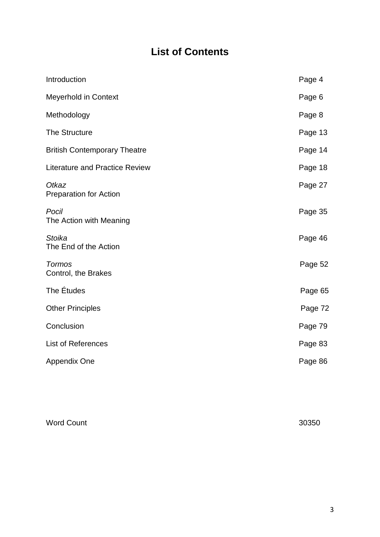## **List of Contents**

| Page 4  |
|---------|
| Page 6  |
| Page 8  |
| Page 13 |
| Page 14 |
| Page 18 |
| Page 27 |
| Page 35 |
| Page 46 |
| Page 52 |
| Page 65 |
| Page 72 |
| Page 79 |
| Page 83 |
| Page 86 |
|         |

Word Count 30350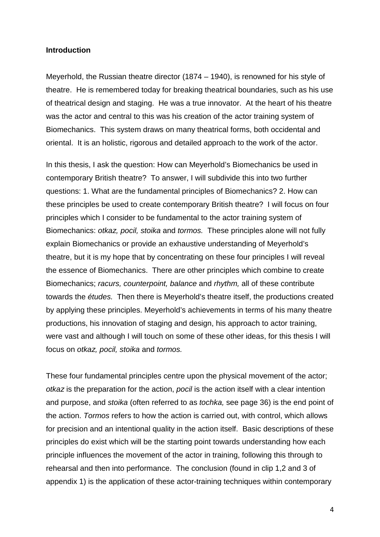#### **Introduction**

Meyerhold, the Russian theatre director (1874 – 1940), is renowned for his style of theatre. He is remembered today for breaking theatrical boundaries, such as his use of theatrical design and staging. He was a true innovator. At the heart of his theatre was the actor and central to this was his creation of the actor training system of Biomechanics. This system draws on many theatrical forms, both occidental and oriental. It is an holistic, rigorous and detailed approach to the work of the actor.

In this thesis, I ask the question: How can Meyerhold's Biomechanics be used in contemporary British theatre? To answer, I will subdivide this into two further questions: 1. What are the fundamental principles of Biomechanics? 2. How can these principles be used to create contemporary British theatre? I will focus on four principles which I consider to be fundamental to the actor training system of Biomechanics: *otkaz, pocil, stoika* and *tormos.* These principles alone will not fully explain Biomechanics or provide an exhaustive understanding of Meyerhold's theatre, but it is my hope that by concentrating on these four principles I will reveal the essence of Biomechanics. There are other principles which combine to create Biomechanics; *racurs, counterpoint, balance* and *rhythm,* all of these contribute towards the *études.* Then there is Meyerhold's theatre itself, the productions created by applying these principles. Meyerhold's achievements in terms of his many theatre productions, his innovation of staging and design, his approach to actor training, were vast and although I will touch on some of these other ideas, for this thesis I will focus on *otkaz, pocil, stoika* and *tormos.*

These four fundamental principles centre upon the physical movement of the actor; *otkaz* is the preparation for the action, *pocil* is the action itself with a clear intention and purpose, and *stoika* (often referred to as *tochka,* see page 36) is the end point of the action. *Tormos* refers to how the action is carried out, with control, which allows for precision and an intentional quality in the action itself. Basic descriptions of these principles do exist which will be the starting point towards understanding how each principle influences the movement of the actor in training, following this through to rehearsal and then into performance. The conclusion (found in clip 1,2 and 3 of appendix 1) is the application of these actor-training techniques within contemporary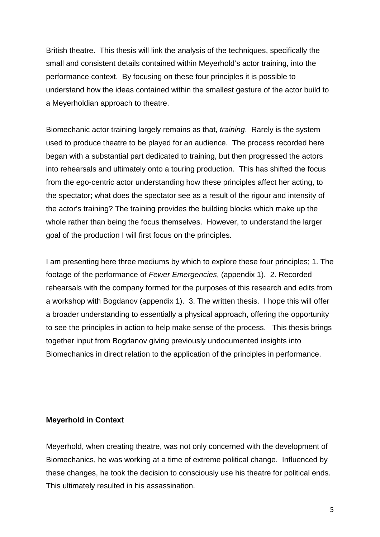British theatre. This thesis will link the analysis of the techniques, specifically the small and consistent details contained within Meyerhold's actor training, into the performance context. By focusing on these four principles it is possible to understand how the ideas contained within the smallest gesture of the actor build to a Meyerholdian approach to theatre.

Biomechanic actor training largely remains as that, *training*. Rarely is the system used to produce theatre to be played for an audience. The process recorded here began with a substantial part dedicated to training, but then progressed the actors into rehearsals and ultimately onto a touring production. This has shifted the focus from the ego-centric actor understanding how these principles affect her acting, to the spectator; what does the spectator see as a result of the rigour and intensity of the actor's training? The training provides the building blocks which make up the whole rather than being the focus themselves. However, to understand the larger goal of the production I will first focus on the principles.

I am presenting here three mediums by which to explore these four principles; 1. The footage of the performance of *Fewer Emergencies*, (appendix 1). 2. Recorded rehearsals with the company formed for the purposes of this research and edits from a workshop with Bogdanov (appendix 1). 3. The written thesis. I hope this will offer a broader understanding to essentially a physical approach, offering the opportunity to see the principles in action to help make sense of the process. This thesis brings together input from Bogdanov giving previously undocumented insights into Biomechanics in direct relation to the application of the principles in performance.

#### **Meyerhold in Context**

Meyerhold, when creating theatre, was not only concerned with the development of Biomechanics, he was working at a time of extreme political change. Influenced by these changes, he took the decision to consciously use his theatre for political ends. This ultimately resulted in his assassination.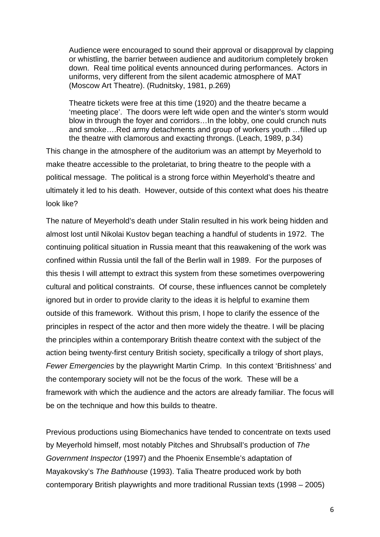Audience were encouraged to sound their approval or disapproval by clapping or whistling, the barrier between audience and auditorium completely broken down. Real time political events announced during performances. Actors in uniforms, very different from the silent academic atmosphere of MAT (Moscow Art Theatre). (Rudnitsky, 1981, p.269)

Theatre tickets were free at this time (1920) and the theatre became a 'meeting place'. The doors were left wide open and the winter's storm would blow in through the foyer and corridors…In the lobby, one could crunch nuts and smoke….Red army detachments and group of workers youth …filled up the theatre with clamorous and exacting throngs. (Leach, 1989, p.34)

This change in the atmosphere of the auditorium was an attempt by Meyerhold to make theatre accessible to the proletariat, to bring theatre to the people with a political message. The political is a strong force within Meyerhold's theatre and ultimately it led to his death. However, outside of this context what does his theatre look like?

The nature of Meyerhold's death under Stalin resulted in his work being hidden and almost lost until Nikolai Kustov began teaching a handful of students in 1972. The continuing political situation in Russia meant that this reawakening of the work was confined within Russia until the fall of the Berlin wall in 1989. For the purposes of this thesis I will attempt to extract this system from these sometimes overpowering cultural and political constraints. Of course, these influences cannot be completely ignored but in order to provide clarity to the ideas it is helpful to examine them outside of this framework. Without this prism, I hope to clarify the essence of the principles in respect of the actor and then more widely the theatre. I will be placing the principles within a contemporary British theatre context with the subject of the action being twenty-first century British society, specifically a trilogy of short plays, *Fewer Emergencies* by the playwright Martin Crimp. In this context 'Britishness' and the contemporary society will not be the focus of the work. These will be a framework with which the audience and the actors are already familiar. The focus will be on the technique and how this builds to theatre.

Previous productions using Biomechanics have tended to concentrate on texts used by Meyerhold himself, most notably Pitches and Shrubsall's production of *The Government Inspector* (1997) and the Phoenix Ensemble's adaptation of Mayakovsky's *The Bathhouse* (1993). Talia Theatre produced work by both contemporary British playwrights and more traditional Russian texts (1998 – 2005)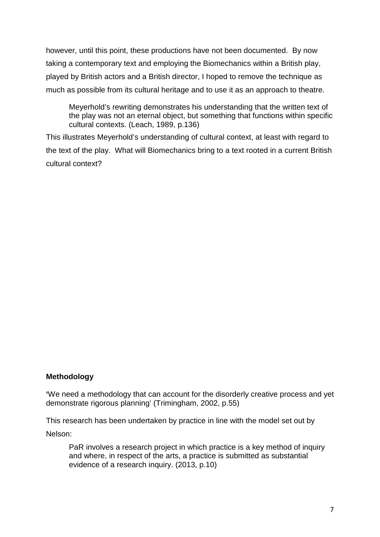however, until this point, these productions have not been documented. By now taking a contemporary text and employing the Biomechanics within a British play, played by British actors and a British director, I hoped to remove the technique as much as possible from its cultural heritage and to use it as an approach to theatre.

Meyerhold's rewriting demonstrates his understanding that the written text of the play was not an eternal object, but something that functions within specific cultural contexts. (Leach, 1989, p.136)

This illustrates Meyerhold's understanding of cultural context, at least with regard to the text of the play. What will Biomechanics bring to a text rooted in a current British cultural context?

#### **Methodology**

**'**We need a methodology that can account for the disorderly creative process and yet demonstrate rigorous planning' (Trimingham, 2002, p.55)

This research has been undertaken by practice in line with the model set out by Nelson:

PaR involves a research project in which practice is a key method of inquiry and where, in respect of the arts, a practice is submitted as substantial evidence of a research inquiry. (2013, p.10)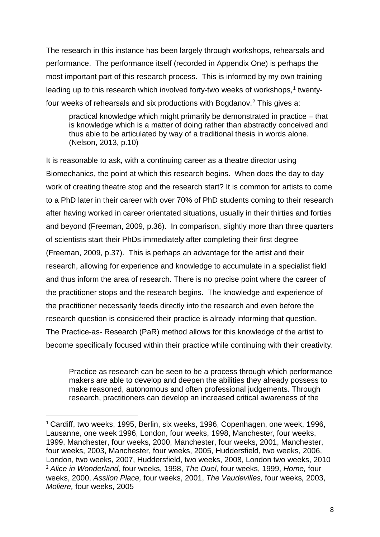The research in this instance has been largely through workshops, rehearsals and performance. The performance itself (recorded in Appendix One) is perhaps the most important part of this research process. This is informed by my own training leading up to this research which involved forty-two weeks of workshops, [1](#page-8-0) twentyfour weeks of rehearsals and six productions with Bogdanov. [2](#page-8-1) This gives a:

practical knowledge which might primarily be demonstrated in practice – that is knowledge which is a matter of doing rather than abstractly conceived and thus able to be articulated by way of a traditional thesis in words alone. (Nelson, 2013, p.10)

It is reasonable to ask, with a continuing career as a theatre director using Biomechanics, the point at which this research begins. When does the day to day work of creating theatre stop and the research start? It is common for artists to come to a PhD later in their career with over 70% of PhD students coming to their research after having worked in career orientated situations, usually in their thirties and forties and beyond (Freeman, 2009, p.36). In comparison, slightly more than three quarters of scientists start their PhDs immediately after completing their first degree (Freeman, 2009, p.37). This is perhaps an advantage for the artist and their research, allowing for experience and knowledge to accumulate in a specialist field and thus inform the area of research. There is no precise point where the career of the practitioner stops and the research begins. The knowledge and experience of the practitioner necessarily feeds directly into the research and even before the research question is considered their practice is already informing that question. The Practice-as- Research (PaR) method allows for this knowledge of the artist to become specifically focused within their practice while continuing with their creativity.

Practice as research can be seen to be a process through which performance makers are able to develop and deepen the abilities they already possess to make reasoned, autonomous and often professional judgements. Through research, practitioners can develop an increased critical awareness of the

<span id="page-8-1"></span><span id="page-8-0"></span><sup>&</sup>lt;sup>1</sup> Cardiff, two weeks, 1995, Berlin, six weeks, 1996, Copenhagen, one week, 1996, Lausanne, one week 1996, London, four weeks, 1998, Manchester, four weeks, 1999, Manchester, four weeks, 2000, Manchester, four weeks, 2001, Manchester, four weeks, 2003, Manchester, four weeks, 2005, Huddersfield, two weeks, 2006, London, two weeks, 2007, Huddersfield, two weeks, 2008, London two weeks, 2010 <sup>2</sup> *Alice in Wonderland,* four weeks, 1998, *The Duel,* four weeks, 1999, *Home,* four weeks, 2000, *Assilon Place,* four weeks, 2001, *The Vaudevilles,* four weeks*,* 2003, *Moliere,* four weeks, 2005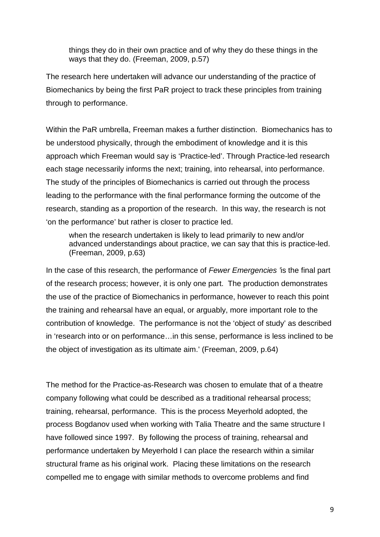things they do in their own practice and of why they do these things in the ways that they do. (Freeman, 2009, p.57)

The research here undertaken will advance our understanding of the practice of Biomechanics by being the first PaR project to track these principles from training through to performance.

Within the PaR umbrella, Freeman makes a further distinction. Biomechanics has to be understood physically, through the embodiment of knowledge and it is this approach which Freeman would say is 'Practice-led'. Through Practice-led research each stage necessarily informs the next; training, into rehearsal, into performance. The study of the principles of Biomechanics is carried out through the process leading to the performance with the final performance forming the outcome of the research, standing as a proportion of the research. In this way, the research is not 'on the performance' but rather is closer to practice led.

when the research undertaken is likely to lead primarily to new and/or advanced understandings about practice, we can say that this is practice-led. (Freeman, 2009, p.63)

In the case of this research, the performance of *Fewer Emergencies '*is the final part of the research process; however, it is only one part. The production demonstrates the use of the practice of Biomechanics in performance, however to reach this point the training and rehearsal have an equal, or arguably, more important role to the contribution of knowledge. The performance is not the 'object of study' as described in 'research into or on performance…in this sense, performance is less inclined to be the object of investigation as its ultimate aim.' (Freeman, 2009, p.64)

The method for the Practice-as-Research was chosen to emulate that of a theatre company following what could be described as a traditional rehearsal process; training, rehearsal, performance. This is the process Meyerhold adopted, the process Bogdanov used when working with Talia Theatre and the same structure I have followed since 1997. By following the process of training, rehearsal and performance undertaken by Meyerhold I can place the research within a similar structural frame as his original work. Placing these limitations on the research compelled me to engage with similar methods to overcome problems and find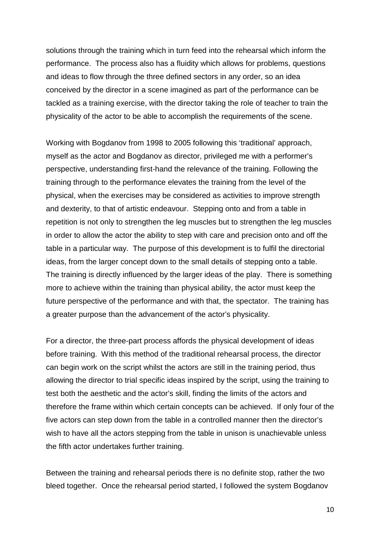solutions through the training which in turn feed into the rehearsal which inform the performance. The process also has a fluidity which allows for problems, questions and ideas to flow through the three defined sectors in any order, so an idea conceived by the director in a scene imagined as part of the performance can be tackled as a training exercise, with the director taking the role of teacher to train the physicality of the actor to be able to accomplish the requirements of the scene.

Working with Bogdanov from 1998 to 2005 following this 'traditional' approach, myself as the actor and Bogdanov as director, privileged me with a performer's perspective, understanding first-hand the relevance of the training. Following the training through to the performance elevates the training from the level of the physical, when the exercises may be considered as activities to improve strength and dexterity, to that of artistic endeavour. Stepping onto and from a table in repetition is not only to strengthen the leg muscles but to strengthen the leg muscles in order to allow the actor the ability to step with care and precision onto and off the table in a particular way. The purpose of this development is to fulfil the directorial ideas, from the larger concept down to the small details of stepping onto a table. The training is directly influenced by the larger ideas of the play. There is something more to achieve within the training than physical ability, the actor must keep the future perspective of the performance and with that, the spectator. The training has a greater purpose than the advancement of the actor's physicality.

For a director, the three-part process affords the physical development of ideas before training. With this method of the traditional rehearsal process, the director can begin work on the script whilst the actors are still in the training period, thus allowing the director to trial specific ideas inspired by the script, using the training to test both the aesthetic and the actor's skill, finding the limits of the actors and therefore the frame within which certain concepts can be achieved. If only four of the five actors can step down from the table in a controlled manner then the director's wish to have all the actors stepping from the table in unison is unachievable unless the fifth actor undertakes further training.

Between the training and rehearsal periods there is no definite stop, rather the two bleed together. Once the rehearsal period started, I followed the system Bogdanov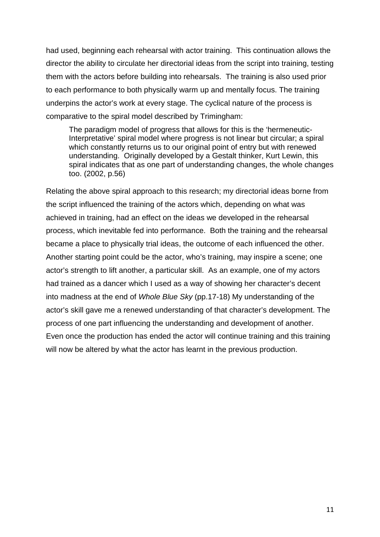had used, beginning each rehearsal with actor training. This continuation allows the director the ability to circulate her directorial ideas from the script into training, testing them with the actors before building into rehearsals. The training is also used prior to each performance to both physically warm up and mentally focus. The training underpins the actor's work at every stage. The cyclical nature of the process is comparative to the spiral model described by Trimingham:

The paradigm model of progress that allows for this is the 'hermeneutic-Interpretative' spiral model where progress is not linear but circular; a spiral which constantly returns us to our original point of entry but with renewed understanding. Originally developed by a Gestalt thinker, Kurt Lewin, this spiral indicates that as one part of understanding changes, the whole changes too. (2002, p.56)

Relating the above spiral approach to this research; my directorial ideas borne from the script influenced the training of the actors which, depending on what was achieved in training, had an effect on the ideas we developed in the rehearsal process, which inevitable fed into performance. Both the training and the rehearsal became a place to physically trial ideas, the outcome of each influenced the other. Another starting point could be the actor, who's training, may inspire a scene; one actor's strength to lift another, a particular skill. As an example, one of my actors had trained as a dancer which I used as a way of showing her character's decent into madness at the end of *Whole Blue Sky* (pp.17-18) My understanding of the actor's skill gave me a renewed understanding of that character's development. The process of one part influencing the understanding and development of another. Even once the production has ended the actor will continue training and this training will now be altered by what the actor has learnt in the previous production.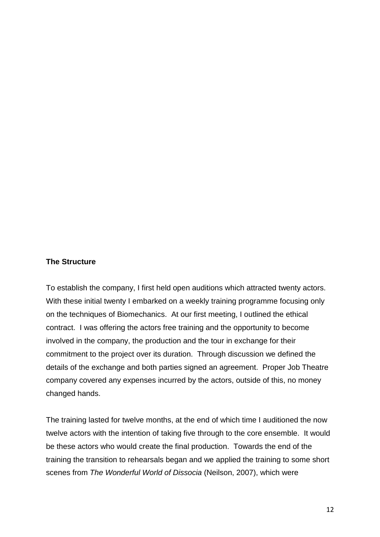#### **The Structure**

To establish the company, I first held open auditions which attracted twenty actors. With these initial twenty I embarked on a weekly training programme focusing only on the techniques of Biomechanics. At our first meeting, I outlined the ethical contract. I was offering the actors free training and the opportunity to become involved in the company, the production and the tour in exchange for their commitment to the project over its duration. Through discussion we defined the details of the exchange and both parties signed an agreement. Proper Job Theatre company covered any expenses incurred by the actors, outside of this, no money changed hands.

The training lasted for twelve months, at the end of which time I auditioned the now twelve actors with the intention of taking five through to the core ensemble. It would be these actors who would create the final production. Towards the end of the training the transition to rehearsals began and we applied the training to some short scenes from *The Wonderful World of Dissocia* (Neilson, 2007), which were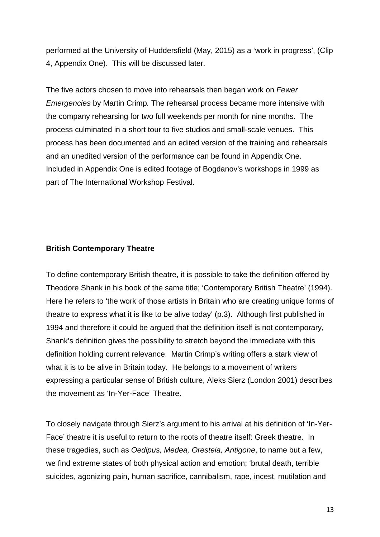performed at the University of Huddersfield (May, 2015) as a 'work in progress', (Clip 4, Appendix One). This will be discussed later.

The five actors chosen to move into rehearsals then began work on *Fewer Emergencies* by Martin Crimp*.* The rehearsal process became more intensive with the company rehearsing for two full weekends per month for nine months. The process culminated in a short tour to five studios and small-scale venues. This process has been documented and an edited version of the training and rehearsals and an unedited version of the performance can be found in Appendix One. Included in Appendix One is edited footage of Bogdanov's workshops in 1999 as part of The International Workshop Festival.

#### **British Contemporary Theatre**

To define contemporary British theatre, it is possible to take the definition offered by Theodore Shank in his book of the same title; 'Contemporary British Theatre' (1994). Here he refers to 'the work of those artists in Britain who are creating unique forms of theatre to express what it is like to be alive today' (p.3). Although first published in 1994 and therefore it could be argued that the definition itself is not contemporary, Shank's definition gives the possibility to stretch beyond the immediate with this definition holding current relevance. Martin Crimp's writing offers a stark view of what it is to be alive in Britain today. He belongs to a movement of writers expressing a particular sense of British culture, Aleks Sierz (London 2001) describes the movement as 'In-Yer-Face' Theatre.

To closely navigate through Sierz's argument to his arrival at his definition of 'In-Yer-Face' theatre it is useful to return to the roots of theatre itself: Greek theatre. In these tragedies, such as *Oedipus, Medea, Oresteia, Antigone*, to name but a few, we find extreme states of both physical action and emotion; 'brutal death, terrible suicides, agonizing pain, human sacrifice, cannibalism, rape, incest, mutilation and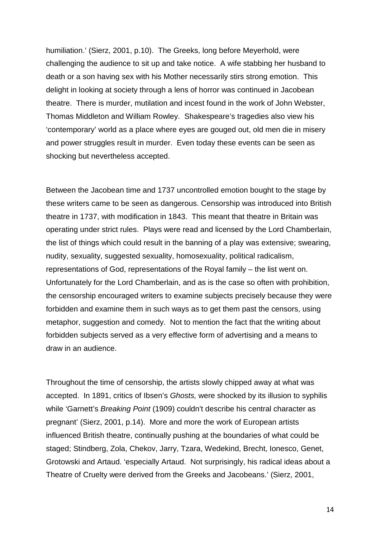humiliation.' (Sierz, 2001, p.10). The Greeks, long before Meyerhold, were challenging the audience to sit up and take notice. A wife stabbing her husband to death or a son having sex with his Mother necessarily stirs strong emotion. This delight in looking at society through a lens of horror was continued in Jacobean theatre. There is murder, mutilation and incest found in the work of John Webster, Thomas Middleton and William Rowley. Shakespeare's tragedies also view his 'contemporary' world as a place where eyes are gouged out, old men die in misery and power struggles result in murder. Even today these events can be seen as shocking but nevertheless accepted.

Between the Jacobean time and 1737 uncontrolled emotion bought to the stage by these writers came to be seen as dangerous. Censorship was introduced into British theatre in 1737, with modification in 1843. This meant that theatre in Britain was operating under strict rules. Plays were read and licensed by the Lord Chamberlain, the list of things which could result in the banning of a play was extensive; swearing, nudity, sexuality, suggested sexuality, homosexuality, political radicalism, representations of God, representations of the Royal family – the list went on. Unfortunately for the Lord Chamberlain, and as is the case so often with prohibition, the censorship encouraged writers to examine subjects precisely because they were forbidden and examine them in such ways as to get them past the censors, using metaphor, suggestion and comedy. Not to mention the fact that the writing about forbidden subjects served as a very effective form of advertising and a means to draw in an audience.

Throughout the time of censorship, the artists slowly chipped away at what was accepted. In 1891, critics of Ibsen's *Ghosts,* were shocked by its illusion to syphilis while 'Garnett's *Breaking Point* (1909) couldn't describe his central character as pregnant' (Sierz, 2001, p.14). More and more the work of European artists influenced British theatre, continually pushing at the boundaries of what could be staged; Stindberg, Zola, Chekov, Jarry, Tzara, Wedekind, Brecht, Ionesco, Genet, Grotowski and Artaud. 'especially Artaud. Not surprisingly, his radical ideas about a Theatre of Cruelty were derived from the Greeks and Jacobeans.' (Sierz, 2001,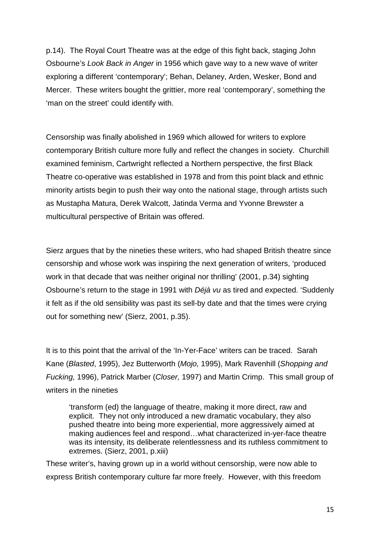p.14). The Royal Court Theatre was at the edge of this fight back, staging John Osbourne's *Look Back in Anger* in 1956 which gave way to a new wave of writer exploring a different 'contemporary'; Behan, Delaney, Arden, Wesker, Bond and Mercer. These writers bought the grittier, more real 'contemporary', something the 'man on the street' could identify with.

Censorship was finally abolished in 1969 which allowed for writers to explore contemporary British culture more fully and reflect the changes in society. Churchill examined feminism, Cartwright reflected a Northern perspective, the first Black Theatre co-operative was established in 1978 and from this point black and ethnic minority artists begin to push their way onto the national stage, through artists such as Mustapha Matura, Derek Walcott, Jatinda Verma and Yvonne Brewster a multicultural perspective of Britain was offered.

Sierz argues that by the nineties these writers, who had shaped British theatre since censorship and whose work was inspiring the next generation of writers, 'produced work in that decade that was neither original nor thrilling' (2001, p.34) sighting Osbourne's return to the stage in 1991 with *Déjà vu* as tired and expected. 'Suddenly it felt as if the old sensibility was past its sell-by date and that the times were crying out for something new' (Sierz, 2001, p.35).

It is to this point that the arrival of the 'In-Yer-Face' writers can be traced. Sarah Kane (*Blasted*, 1995), Jez Butterworth (*Mojo,* 1995), Mark Ravenhill (*Shopping and Fucking,* 1996), Patrick Marber (*Closer,* 1997) and Martin Crimp. This small group of writers in the nineties

'transform (ed) the language of theatre, making it more direct, raw and explicit. They not only introduced a new dramatic vocabulary, they also pushed theatre into being more experiential, more aggressively aimed at making audiences feel and respond…what characterized in-yer-face theatre was its intensity, its deliberate relentlessness and its ruthless commitment to extremes. (Sierz, 2001, p.xiii)

These writer's, having grown up in a world without censorship, were now able to express British contemporary culture far more freely. However, with this freedom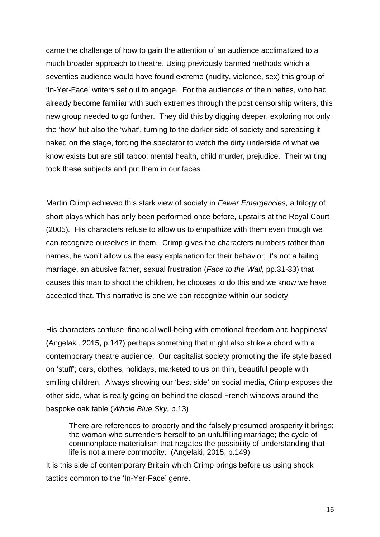came the challenge of how to gain the attention of an audience acclimatized to a much broader approach to theatre. Using previously banned methods which a seventies audience would have found extreme (nudity, violence, sex) this group of 'In-Yer-Face' writers set out to engage. For the audiences of the nineties, who had already become familiar with such extremes through the post censorship writers, this new group needed to go further. They did this by digging deeper, exploring not only the 'how' but also the 'what', turning to the darker side of society and spreading it naked on the stage, forcing the spectator to watch the dirty underside of what we know exists but are still taboo; mental health, child murder, prejudice. Their writing took these subjects and put them in our faces.

Martin Crimp achieved this stark view of society in *Fewer Emergencies,* a trilogy of short plays which has only been performed once before, upstairs at the Royal Court (2005)*.* His characters refuse to allow us to empathize with them even though we can recognize ourselves in them. Crimp gives the characters numbers rather than names, he won't allow us the easy explanation for their behavior; it's not a failing marriage, an abusive father, sexual frustration (*Face to the Wall,* pp.31-33) that causes this man to shoot the children, he chooses to do this and we know we have accepted that. This narrative is one we can recognize within our society.

His characters confuse 'financial well-being with emotional freedom and happiness' (Angelaki, 2015, p.147) perhaps something that might also strike a chord with a contemporary theatre audience. Our capitalist society promoting the life style based on 'stuff'; cars, clothes, holidays, marketed to us on thin, beautiful people with smiling children. Always showing our 'best side' on social media, Crimp exposes the other side, what is really going on behind the closed French windows around the bespoke oak table (*Whole Blue Sky,* p.13)

There are references to property and the falsely presumed prosperity it brings; the woman who surrenders herself to an unfulfilling marriage; the cycle of commonplace materialism that negates the possibility of understanding that life is not a mere commodity. (Angelaki, 2015, p.149)

It is this side of contemporary Britain which Crimp brings before us using shock tactics common to the 'In-Yer-Face' genre.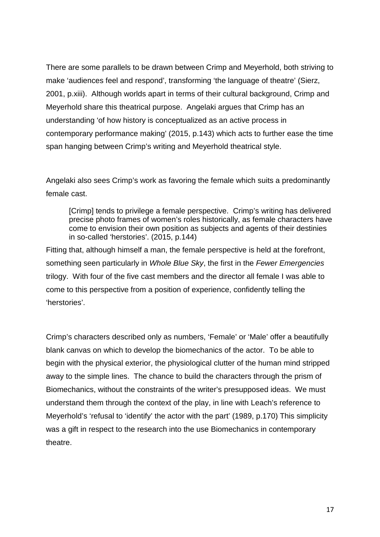There are some parallels to be drawn between Crimp and Meyerhold, both striving to make 'audiences feel and respond', transforming 'the language of theatre' (Sierz, 2001, p.xiii). Although worlds apart in terms of their cultural background, Crimp and Meyerhold share this theatrical purpose. Angelaki argues that Crimp has an understanding 'of how history is conceptualized as an active process in contemporary performance making' (2015, p.143) which acts to further ease the time span hanging between Crimp's writing and Meyerhold theatrical style.

Angelaki also sees Crimp's work as favoring the female which suits a predominantly female cast.

[Crimp] tends to privilege a female perspective. Crimp's writing has delivered precise photo frames of women's roles historically, as female characters have come to envision their own position as subjects and agents of their destinies in so-called 'herstories'. (2015, p.144)

Fitting that, although himself a man, the female perspective is held at the forefront, something seen particularly in *Whole Blue Sky*, the first in the *Fewer Emergencies*  trilogy. With four of the five cast members and the director all female I was able to come to this perspective from a position of experience, confidently telling the 'herstories'.

Crimp's characters described only as numbers, 'Female' or 'Male' offer a beautifully blank canvas on which to develop the biomechanics of the actor. To be able to begin with the physical exterior, the physiological clutter of the human mind stripped away to the simple lines. The chance to build the characters through the prism of Biomechanics, without the constraints of the writer's presupposed ideas. We must understand them through the context of the play, in line with Leach's reference to Meyerhold's 'refusal to 'identify' the actor with the part' (1989, p.170) This simplicity was a gift in respect to the research into the use Biomechanics in contemporary theatre.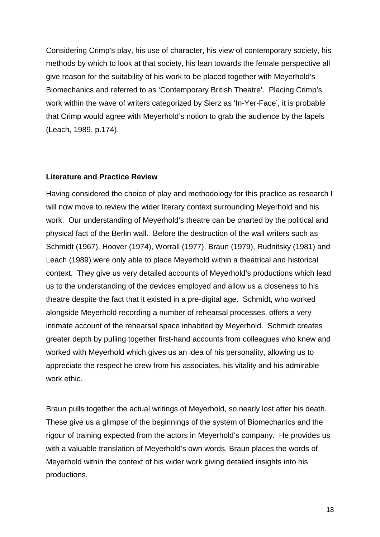Considering Crimp's play, his use of character, his view of contemporary society, his methods by which to look at that society, his lean towards the female perspective all give reason for the suitability of his work to be placed together with Meyerhold's Biomechanics and referred to as 'Contemporary British Theatre'. Placing Crimp's work within the wave of writers categorized by Sierz as 'In-Yer-Face', it is probable that Crimp would agree with Meyerhold's notion to grab the audience by the lapels (Leach, 1989, p.174).

#### **Literature and Practice Review**

Having considered the choice of play and methodology for this practice as research I will now move to review the wider literary context surrounding Meyerhold and his work. Our understanding of Meyerhold's theatre can be charted by the political and physical fact of the Berlin wall. Before the destruction of the wall writers such as Schmidt (1967), Hoover (1974), Worrall (1977), Braun (1979), Rudnitsky (1981) and Leach (1989) were only able to place Meyerhold within a theatrical and historical context. They give us very detailed accounts of Meyerhold's productions which lead us to the understanding of the devices employed and allow us a closeness to his theatre despite the fact that it existed in a pre-digital age. Schmidt, who worked alongside Meyerhold recording a number of rehearsal processes, offers a very intimate account of the rehearsal space inhabited by Meyerhold. Schmidt creates greater depth by pulling together first-hand accounts from colleagues who knew and worked with Meyerhold which gives us an idea of his personality, allowing us to appreciate the respect he drew from his associates, his vitality and his admirable work ethic.

Braun pulls together the actual writings of Meyerhold, so nearly lost after his death. These give us a glimpse of the beginnings of the system of Biomechanics and the rigour of training expected from the actors in Meyerhold's company. He provides us with a valuable translation of Meyerhold's own words. Braun places the words of Meyerhold within the context of his wider work giving detailed insights into his productions.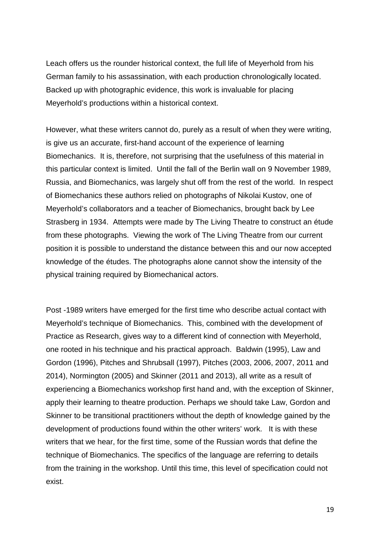Leach offers us the rounder historical context, the full life of Meyerhold from his German family to his assassination, with each production chronologically located. Backed up with photographic evidence, this work is invaluable for placing Meyerhold's productions within a historical context.

However, what these writers cannot do, purely as a result of when they were writing, is give us an accurate, first-hand account of the experience of learning Biomechanics. It is, therefore, not surprising that the usefulness of this material in this particular context is limited. Until the fall of the Berlin wall on 9 November 1989, Russia, and Biomechanics, was largely shut off from the rest of the world. In respect of Biomechanics these authors relied on photographs of Nikolai Kustov, one of Meyerhold's collaborators and a teacher of Biomechanics, brought back by Lee Strasberg in 1934. Attempts were made by The Living Theatre to construct an étude from these photographs. Viewing the work of The Living Theatre from our current position it is possible to understand the distance between this and our now accepted knowledge of the études. The photographs alone cannot show the intensity of the physical training required by Biomechanical actors.

Post -1989 writers have emerged for the first time who describe actual contact with Meyerhold's technique of Biomechanics. This, combined with the development of Practice as Research, gives way to a different kind of connection with Meyerhold, one rooted in his technique and his practical approach. Baldwin (1995), Law and Gordon (1996), Pitches and Shrubsall (1997), Pitches (2003, 2006, 2007, 2011 and 2014), Normington (2005) and Skinner (2011 and 2013), all write as a result of experiencing a Biomechanics workshop first hand and, with the exception of Skinner, apply their learning to theatre production. Perhaps we should take Law, Gordon and Skinner to be transitional practitioners without the depth of knowledge gained by the development of productions found within the other writers' work. It is with these writers that we hear, for the first time, some of the Russian words that define the technique of Biomechanics. The specifics of the language are referring to details from the training in the workshop. Until this time, this level of specification could not exist.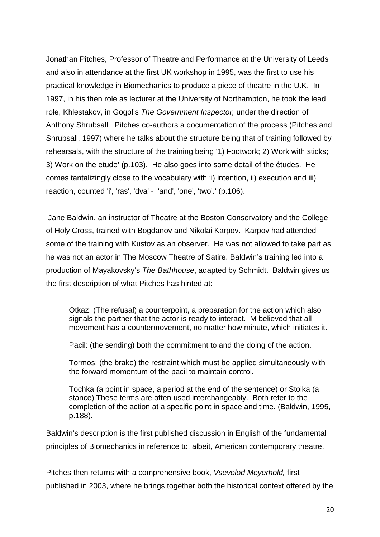Jonathan Pitches, Professor of Theatre and Performance at the University of Leeds and also in attendance at the first UK workshop in 1995, was the first to use his practical knowledge in Biomechanics to produce a piece of theatre in the U.K. In 1997, in his then role as lecturer at the University of Northampton, he took the lead role, Khlestakov, in Gogol's *The Government Inspector,* under the direction of Anthony Shrubsall*.* Pitches co-authors a documentation of the process (Pitches and Shrubsall, 1997) where he talks about the structure being that of training followed by rehearsals, with the structure of the training being '1) Footwork; 2) Work with sticks; 3) Work on the etude' (p.103). He also goes into some detail of the études. He comes tantalizingly close to the vocabulary with 'i) intention, ii) execution and iii) reaction, counted 'i', 'ras', 'dva' - 'and', 'one', 'two'.' (p.106).

Jane Baldwin, an instructor of Theatre at the Boston Conservatory and the College of Holy Cross, trained with Bogdanov and Nikolai Karpov. Karpov had attended some of the training with Kustov as an observer. He was not allowed to take part as he was not an actor in The Moscow Theatre of Satire. Baldwin's training led into a production of Mayakovsky's *The Bathhouse*, adapted by Schmidt. Baldwin gives us the first description of what Pitches has hinted at:

Otkaz: (The refusal) a counterpoint, a preparation for the action which also signals the partner that the actor is ready to interact. M believed that all movement has a countermovement, no matter how minute, which initiates it.

Pacil: (the sending) both the commitment to and the doing of the action.

Tormos: (the brake) the restraint which must be applied simultaneously with the forward momentum of the pacil to maintain control.

Tochka (a point in space, a period at the end of the sentence) or Stoika (a stance) These terms are often used interchangeably. Both refer to the completion of the action at a specific point in space and time. (Baldwin, 1995, p.188).

Baldwin's description is the first published discussion in English of the fundamental principles of Biomechanics in reference to, albeit, American contemporary theatre.

Pitches then returns with a comprehensive book, *Vsevolod Meyerhold,* first published in 2003, where he brings together both the historical context offered by the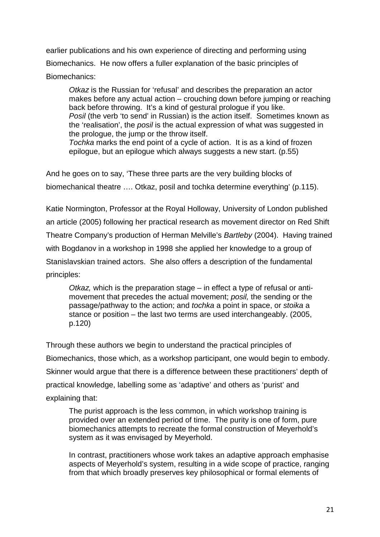earlier publications and his own experience of directing and performing using Biomechanics. He now offers a fuller explanation of the basic principles of

Biomechanics:

*Otkaz* is the Russian for 'refusal' and describes the preparation an actor makes before any actual action – crouching down before jumping or reaching back before throwing. It's a kind of gestural prologue if you like. *Posil* (the verb 'to send' in Russian) is the action itself. Sometimes known as the 'realisation', the *posil* is the actual expression of what was suggested in the prologue, the jump or the throw itself. *Tochka* marks the end point of a cycle of action. It is as a kind of frozen

epilogue, but an epilogue which always suggests a new start. (p.55)

And he goes on to say, 'These three parts are the very building blocks of biomechanical theatre …. Otkaz, posil and tochka determine everything' (p.115).

Katie Normington, Professor at the Royal Holloway, University of London published an article (2005) following her practical research as movement director on Red Shift Theatre Company's production of Herman Melville's *Bartleby* (2004). Having trained with Bogdanov in a workshop in 1998 she applied her knowledge to a group of Stanislavskian trained actors. She also offers a description of the fundamental principles:

*Otkaz,* which is the preparation stage – in effect a type of refusal or antimovement that precedes the actual movement; *posil,* the sending or the passage/pathway to the action; and *tochka* a point in space, or *stoika* a stance or position – the last two terms are used interchangeably. (2005, p.120)

Through these authors we begin to understand the practical principles of Biomechanics, those which, as a workshop participant, one would begin to embody. Skinner would argue that there is a difference between these practitioners' depth of practical knowledge, labelling some as 'adaptive' and others as 'purist' and explaining that:

The purist approach is the less common, in which workshop training is provided over an extended period of time. The purity is one of form, pure biomechanics attempts to recreate the formal construction of Meyerhold's system as it was envisaged by Meyerhold.

In contrast, practitioners whose work takes an adaptive approach emphasise aspects of Meyerhold's system, resulting in a wide scope of practice, ranging from that which broadly preserves key philosophical or formal elements of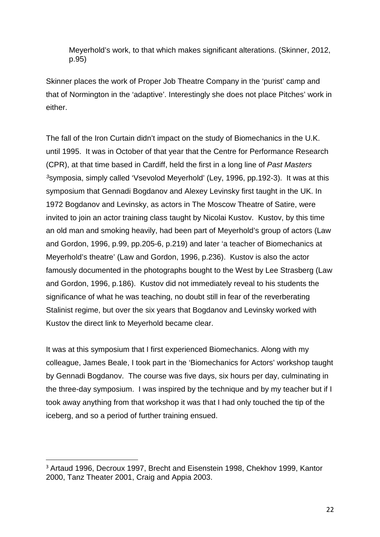Meyerhold's work, to that which makes significant alterations. (Skinner, 2012, p.95)

Skinner places the work of Proper Job Theatre Company in the 'purist' camp and that of Normington in the 'adaptive'. Interestingly she does not place Pitches' work in either.

The fall of the Iron Curtain didn't impact on the study of Biomechanics in the U.K. until 1995. It was in October of that year that the Centre for Performance Research (CPR), at that time based in Cardiff, held the first in a long line of *Past Masters [3](#page-22-0)*symposia, simply called 'Vsevolod Meyerhold' (Ley, 1996, pp.192-3). It was at this symposium that Gennadi Bogdanov and Alexey Levinsky first taught in the UK. In 1972 Bogdanov and Levinsky, as actors in The Moscow Theatre of Satire, were invited to join an actor training class taught by Nicolai Kustov. Kustov, by this time an old man and smoking heavily, had been part of Meyerhold's group of actors (Law and Gordon, 1996, p.99, pp.205-6, p.219) and later 'a teacher of Biomechanics at Meyerhold's theatre' (Law and Gordon, 1996, p.236). Kustov is also the actor famously documented in the photographs bought to the West by Lee Strasberg (Law and Gordon, 1996, p.186). Kustov did not immediately reveal to his students the significance of what he was teaching, no doubt still in fear of the reverberating Stalinist regime, but over the six years that Bogdanov and Levinsky worked with Kustov the direct link to Meyerhold became clear.

It was at this symposium that I first experienced Biomechanics. Along with my colleague, James Beale, I took part in the 'Biomechanics for Actors' workshop taught by Gennadi Bogdanov. The course was five days, six hours per day, culminating in the three-day symposium. I was inspired by the technique and by my teacher but if I took away anything from that workshop it was that I had only touched the tip of the iceberg, and so a period of further training ensued.

<span id="page-22-0"></span> <sup>3</sup> Artaud 1996, Decroux 1997, Brecht and Eisenstein 1998, Chekhov 1999, Kantor 2000, Tanz Theater 2001, Craig and Appia 2003.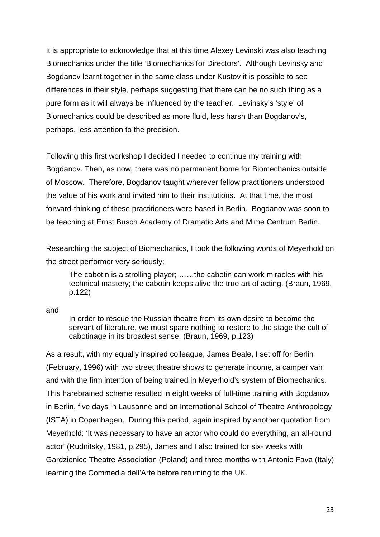It is appropriate to acknowledge that at this time Alexey Levinski was also teaching Biomechanics under the title 'Biomechanics for Directors'. Although Levinsky and Bogdanov learnt together in the same class under Kustov it is possible to see differences in their style, perhaps suggesting that there can be no such thing as a pure form as it will always be influenced by the teacher. Levinsky's 'style' of Biomechanics could be described as more fluid, less harsh than Bogdanov's, perhaps, less attention to the precision.

Following this first workshop I decided I needed to continue my training with Bogdanov. Then, as now, there was no permanent home for Biomechanics outside of Moscow. Therefore, Bogdanov taught wherever fellow practitioners understood the value of his work and invited him to their institutions. At that time, the most forward-thinking of these practitioners were based in Berlin. Bogdanov was soon to be teaching at Ernst Busch Academy of Dramatic Arts and Mime Centrum Berlin.

Researching the subject of Biomechanics, I took the following words of Meyerhold on the street performer very seriously:

The cabotin is a strolling player; ……the cabotin can work miracles with his technical mastery; the cabotin keeps alive the true art of acting. (Braun, 1969, p.122)

and

In order to rescue the Russian theatre from its own desire to become the servant of literature, we must spare nothing to restore to the stage the cult of cabotinage in its broadest sense. (Braun, 1969, p.123)

As a result, with my equally inspired colleague, James Beale, I set off for Berlin (February, 1996) with two street theatre shows to generate income, a camper van and with the firm intention of being trained in Meyerhold's system of Biomechanics. This harebrained scheme resulted in eight weeks of full-time training with Bogdanov in Berlin, five days in Lausanne and an International School of Theatre Anthropology (ISTA) in Copenhagen. During this period, again inspired by another quotation from Meyerhold: 'It was necessary to have an actor who could do everything, an all-round actor' (Rudnitsky, 1981, p.295), James and I also trained for six- weeks with Gardzienice Theatre Association (Poland) and three months with Antonio Fava (Italy) learning the Commedia dell'Arte before returning to the UK.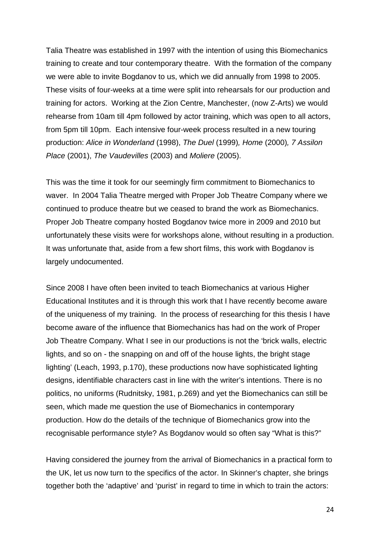Talia Theatre was established in 1997 with the intention of using this Biomechanics training to create and tour contemporary theatre. With the formation of the company we were able to invite Bogdanov to us, which we did annually from 1998 to 2005. These visits of four-weeks at a time were split into rehearsals for our production and training for actors. Working at the Zion Centre, Manchester, (now Z-Arts) we would rehearse from 10am till 4pm followed by actor training, which was open to all actors, from 5pm till 10pm. Each intensive four-week process resulted in a new touring production: *Alice in Wonderland* (1998), *The Duel* (1999)*, Home* (2000)*, 7 Assilon Place* (2001), *The Vaudevilles* (2003) and *Moliere* (2005).

This was the time it took for our seemingly firm commitment to Biomechanics to waver. In 2004 Talia Theatre merged with Proper Job Theatre Company where we continued to produce theatre but we ceased to brand the work as Biomechanics. Proper Job Theatre company hosted Bogdanov twice more in 2009 and 2010 but unfortunately these visits were for workshops alone, without resulting in a production. It was unfortunate that, aside from a few short films, this work with Bogdanov is largely undocumented.

Since 2008 I have often been invited to teach Biomechanics at various Higher Educational Institutes and it is through this work that I have recently become aware of the uniqueness of my training. In the process of researching for this thesis I have become aware of the influence that Biomechanics has had on the work of Proper Job Theatre Company. What I see in our productions is not the 'brick walls, electric lights, and so on - the snapping on and off of the house lights, the bright stage lighting' (Leach, 1993, p.170), these productions now have sophisticated lighting designs, identifiable characters cast in line with the writer's intentions. There is no politics, no uniforms (Rudnitsky, 1981, p.269) and yet the Biomechanics can still be seen, which made me question the use of Biomechanics in contemporary production. How do the details of the technique of Biomechanics grow into the recognisable performance style? As Bogdanov would so often say "What is this?"

Having considered the journey from the arrival of Biomechanics in a practical form to the UK, let us now turn to the specifics of the actor. In Skinner's chapter, she brings together both the 'adaptive' and 'purist' in regard to time in which to train the actors: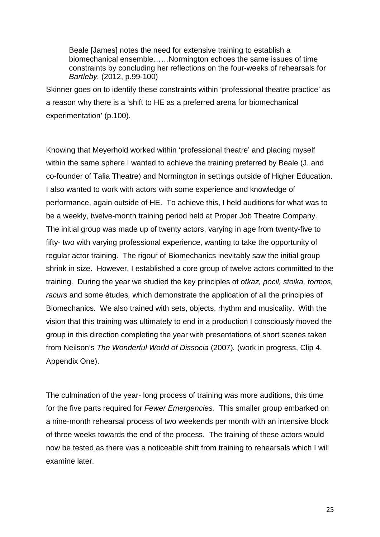Beale [James] notes the need for extensive training to establish a biomechanical ensemble……Normington echoes the same issues of time constraints by concluding her reflections on the four-weeks of rehearsals for *Bartleby.* (2012, p.99-100)

Skinner goes on to identify these constraints within 'professional theatre practice' as a reason why there is a 'shift to HE as a preferred arena for biomechanical experimentation' (p.100).

Knowing that Meyerhold worked within 'professional theatre' and placing myself within the same sphere I wanted to achieve the training preferred by Beale (J. and co-founder of Talia Theatre) and Normington in settings outside of Higher Education. I also wanted to work with actors with some experience and knowledge of performance, again outside of HE. To achieve this, I held auditions for what was to be a weekly, twelve-month training period held at Proper Job Theatre Company. The initial group was made up of twenty actors, varying in age from twenty-five to fifty- two with varying professional experience, wanting to take the opportunity of regular actor training. The rigour of Biomechanics inevitably saw the initial group shrink in size. However, I established a core group of twelve actors committed to the training. During the year we studied the key principles of *otkaz, pocil, stoika, tormos, racurs* and some études*,* which demonstrate the application of all the principles of Biomechanics*.* We also trained with sets, objects, rhythm and musicality. With the vision that this training was ultimately to end in a production I consciously moved the group in this direction completing the year with presentations of short scenes taken from Neilson's *The Wonderful World of Dissocia* (2007)*.* (work in progress, Clip 4, Appendix One).

The culmination of the year- long process of training was more auditions, this time for the five parts required for *Fewer Emergencies.* This smaller group embarked on a nine-month rehearsal process of two weekends per month with an intensive block of three weeks towards the end of the process. The training of these actors would now be tested as there was a noticeable shift from training to rehearsals which I will examine later.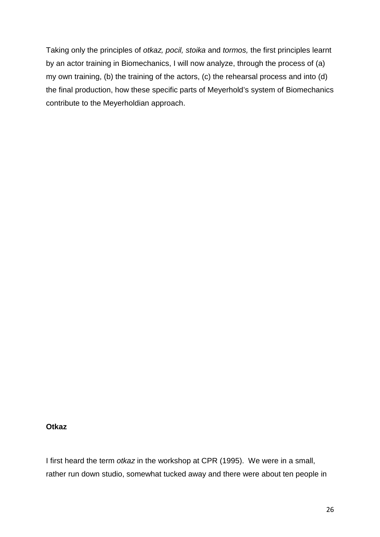Taking only the principles of *otkaz, pocil, stoika* and *tormos,* the first principles learnt by an actor training in Biomechanics, I will now analyze, through the process of (a) my own training, (b) the training of the actors, (c) the rehearsal process and into (d) the final production, how these specific parts of Meyerhold's system of Biomechanics contribute to the Meyerholdian approach.

#### **Otkaz**

I first heard the term *otkaz* in the workshop at CPR (1995). We were in a small, rather run down studio, somewhat tucked away and there were about ten people in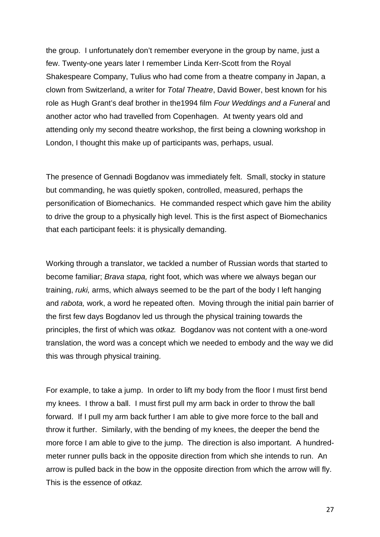the group. I unfortunately don't remember everyone in the group by name, just a few. Twenty-one years later I remember Linda Kerr-Scott from the Royal Shakespeare Company, Tulius who had come from a theatre company in Japan, a clown from Switzerland, a writer for *Total Theatre*, David Bower, best known for his role as Hugh Grant's deaf brother in the1994 film *Four Weddings and a Funeral* and another actor who had travelled from Copenhagen. At twenty years old and attending only my second theatre workshop, the first being a clowning workshop in London, I thought this make up of participants was, perhaps, usual.

The presence of Gennadi Bogdanov was immediately felt. Small, stocky in stature but commanding, he was quietly spoken, controlled, measured, perhaps the personification of Biomechanics. He commanded respect which gave him the ability to drive the group to a physically high level. This is the first aspect of Biomechanics that each participant feels: it is physically demanding.

Working through a translator, we tackled a number of Russian words that started to become familiar; *Brava stapa,* right foot, which was where we always began our training, *ruki,* arms, which always seemed to be the part of the body I left hanging and *rabota,* work, a word he repeated often. Moving through the initial pain barrier of the first few days Bogdanov led us through the physical training towards the principles, the first of which was *otkaz.* Bogdanov was not content with a one-word translation, the word was a concept which we needed to embody and the way we did this was through physical training.

For example, to take a jump. In order to lift my body from the floor I must first bend my knees. I throw a ball. I must first pull my arm back in order to throw the ball forward. If I pull my arm back further I am able to give more force to the ball and throw it further. Similarly, with the bending of my knees, the deeper the bend the more force I am able to give to the jump. The direction is also important. A hundredmeter runner pulls back in the opposite direction from which she intends to run. An arrow is pulled back in the bow in the opposite direction from which the arrow will fly. This is the essence of *otkaz.*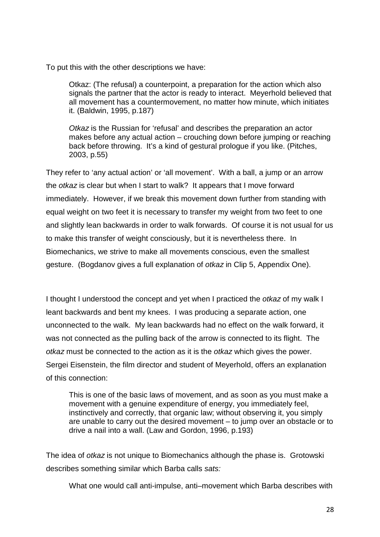To put this with the other descriptions we have:

Otkaz: (The refusal) a counterpoint, a preparation for the action which also signals the partner that the actor is ready to interact. Meyerhold believed that all movement has a countermovement, no matter how minute, which initiates it. (Baldwin, 1995, p.187)

*Otkaz* is the Russian for 'refusal' and describes the preparation an actor makes before any actual action – crouching down before jumping or reaching back before throwing. It's a kind of gestural prologue if you like. (Pitches, 2003, p.55)

They refer to 'any actual action' or 'all movement'. With a ball, a jump or an arrow the *otkaz* is clear but when I start to walk? It appears that I move forward immediately. However, if we break this movement down further from standing with equal weight on two feet it is necessary to transfer my weight from two feet to one and slightly lean backwards in order to walk forwards. Of course it is not usual for us to make this transfer of weight consciously, but it is nevertheless there. In Biomechanics, we strive to make all movements conscious, even the smallest gesture. (Bogdanov gives a full explanation of *otkaz* in Clip 5, Appendix One).

I thought I understood the concept and yet when I practiced the *otkaz* of my walk I leant backwards and bent my knees. I was producing a separate action, one unconnected to the walk. My lean backwards had no effect on the walk forward, it was not connected as the pulling back of the arrow is connected to its flight. The *otkaz* must be connected to the action as it is the *otkaz* which gives the power. Sergei Eisenstein, the film director and student of Meyerhold, offers an explanation of this connection:

This is one of the basic laws of movement, and as soon as you must make a movement with a genuine expenditure of energy, you immediately feel, instinctively and correctly, that organic law; without observing it, you simply are unable to carry out the desired movement – to jump over an obstacle or to drive a nail into a wall. (Law and Gordon, 1996, p.193)

The idea of *otkaz* is not unique to Biomechanics although the phase is. Grotowski describes something similar which Barba calls *sats:*

What one would call anti-impulse, anti–movement which Barba describes with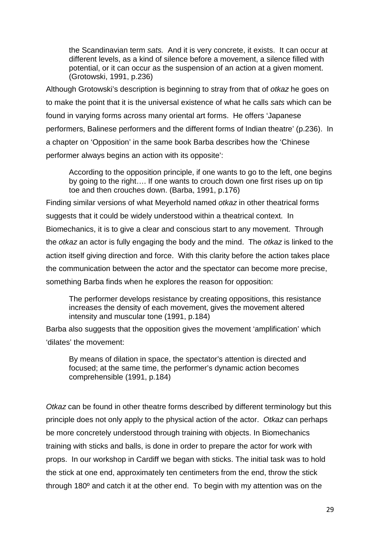the Scandinavian term *sats.* And it is very concrete, it exists. It can occur at different levels, as a kind of silence before a movement, a silence filled with potential, or it can occur as the suspension of an action at a given moment. (Grotowski, 1991, p.236)

Although Grotowski's description is beginning to stray from that of *otkaz* he goes on to make the point that it is the universal existence of what he calls *sats* which can be found in varying forms across many oriental art forms. He offers 'Japanese performers, Balinese performers and the different forms of Indian theatre' (p.236). In a chapter on 'Opposition' in the same book Barba describes how the 'Chinese performer always begins an action with its opposite':

According to the opposition principle, if one wants to go to the left, one begins by going to the right…. If one wants to crouch down one first rises up on tip toe and then crouches down. (Barba, 1991, p.176)

Finding similar versions of what Meyerhold named *otkaz* in other theatrical forms suggests that it could be widely understood within a theatrical context. In Biomechanics, it is to give a clear and conscious start to any movement. Through the *otkaz* an actor is fully engaging the body and the mind. The *otkaz* is linked to the action itself giving direction and force. With this clarity before the action takes place the communication between the actor and the spectator can become more precise, something Barba finds when he explores the reason for opposition:

The performer develops resistance by creating oppositions, this resistance increases the density of each movement, gives the movement altered intensity and muscular tone (1991, p.184)

Barba also suggests that the opposition gives the movement 'amplification' which 'dilates' the movement:

By means of dilation in space, the spectator's attention is directed and focused; at the same time, the performer's dynamic action becomes comprehensible (1991, p.184)

*Otkaz* can be found in other theatre forms described by different terminology but this principle does not only apply to the physical action of the actor. *Otkaz* can perhaps be more concretely understood through training with objects. In Biomechanics training with sticks and balls, is done in order to prepare the actor for work with props. In our workshop in Cardiff we began with sticks. The initial task was to hold the stick at one end, approximately ten centimeters from the end, throw the stick through 180º and catch it at the other end. To begin with my attention was on the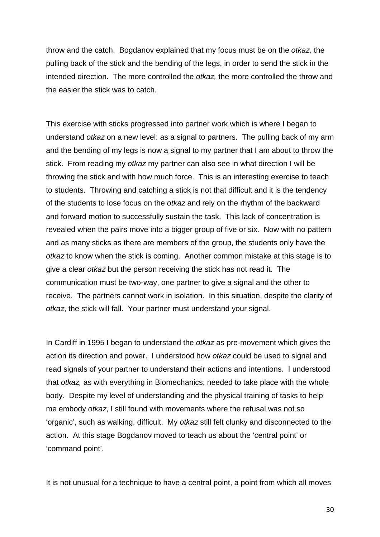throw and the catch. Bogdanov explained that my focus must be on the *otkaz,* the pulling back of the stick and the bending of the legs, in order to send the stick in the intended direction. The more controlled the *otkaz,* the more controlled the throw and the easier the stick was to catch.

This exercise with sticks progressed into partner work which is where I began to understand *otkaz* on a new level: as a signal to partners. The pulling back of my arm and the bending of my legs is now a signal to my partner that I am about to throw the stick. From reading my *otkaz* my partner can also see in what direction I will be throwing the stick and with how much force. This is an interesting exercise to teach to students. Throwing and catching a stick is not that difficult and it is the tendency of the students to lose focus on the *otkaz* and rely on the rhythm of the backward and forward motion to successfully sustain the task. This lack of concentration is revealed when the pairs move into a bigger group of five or six. Now with no pattern and as many sticks as there are members of the group, the students only have the *otkaz* to know when the stick is coming. Another common mistake at this stage is to give a clear *otkaz* but the person receiving the stick has not read it. The communication must be two-way, one partner to give a signal and the other to receive. The partners cannot work in isolation. In this situation, despite the clarity of *otkaz*, the stick will fall. Your partner must understand your signal.

In Cardiff in 1995 I began to understand the *otkaz* as pre-movement which gives the action its direction and power. I understood how *otkaz* could be used to signal and read signals of your partner to understand their actions and intentions. I understood that *otkaz,* as with everything in Biomechanics, needed to take place with the whole body. Despite my level of understanding and the physical training of tasks to help me embody *otkaz*, I still found with movements where the refusal was not so 'organic', such as walking, difficult. My *otkaz* still felt clunky and disconnected to the action. At this stage Bogdanov moved to teach us about the 'central point' or 'command point'.

It is not unusual for a technique to have a central point, a point from which all moves

30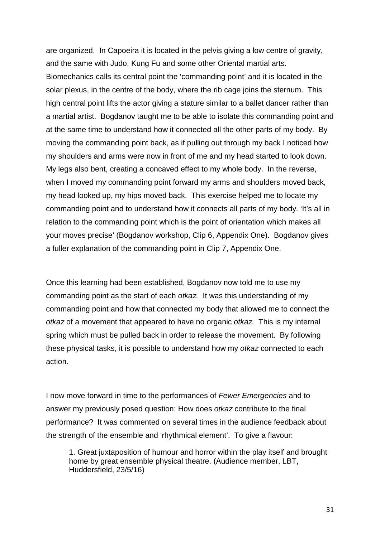are organized. In Capoeira it is located in the pelvis giving a low centre of gravity, and the same with Judo, Kung Fu and some other Oriental martial arts. Biomechanics calls its central point the 'commanding point' and it is located in the solar plexus, in the centre of the body, where the rib cage joins the sternum. This high central point lifts the actor giving a stature similar to a ballet dancer rather than a martial artist. Bogdanov taught me to be able to isolate this commanding point and at the same time to understand how it connected all the other parts of my body. By moving the commanding point back, as if pulling out through my back I noticed how my shoulders and arms were now in front of me and my head started to look down. My legs also bent, creating a concaved effect to my whole body. In the reverse, when I moved my commanding point forward my arms and shoulders moved back, my head looked up, my hips moved back. This exercise helped me to locate my commanding point and to understand how it connects all parts of my body. 'It's all in relation to the commanding point which is the point of orientation which makes all your moves precise' (Bogdanov workshop, Clip 6, Appendix One). Bogdanov gives a fuller explanation of the commanding point in Clip 7, Appendix One.

Once this learning had been established, Bogdanov now told me to use my commanding point as the start of each *otkaz.* It was this understanding of my commanding point and how that connected my body that allowed me to connect the *otkaz* of a movement that appeared to have no organic *otkaz.* This is my internal spring which must be pulled back in order to release the movement. By following these physical tasks, it is possible to understand how my *otkaz* connected to each action.

I now move forward in time to the performances of *Fewer Emergencies* and to answer my previously posed question: How does *otkaz* contribute to the final performance? It was commented on several times in the audience feedback about the strength of the ensemble and 'rhythmical element'. To give a flavour:

1. Great juxtaposition of humour and horror within the play itself and brought home by great ensemble physical theatre. (Audience member, LBT, Huddersfield, 23/5/16)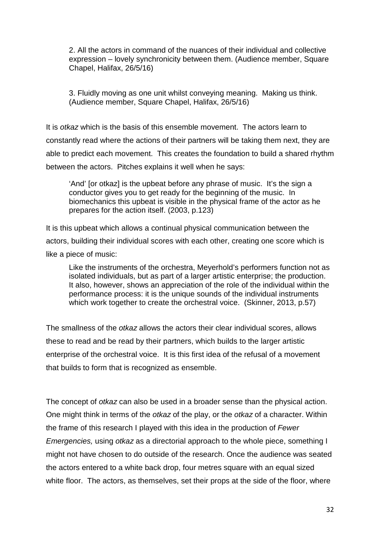2. All the actors in command of the nuances of their individual and collective expression – lovely synchronicity between them. (Audience member, Square Chapel, Halifax, 26/5/16)

3. Fluidly moving as one unit whilst conveying meaning. Making us think. (Audience member, Square Chapel, Halifax, 26/5/16)

It is *otkaz* which is the basis of this ensemble movement. The actors learn to constantly read where the actions of their partners will be taking them next, they are able to predict each movement. This creates the foundation to build a shared rhythm between the actors. Pitches explains it well when he says:

'And' [or otkaz] is the upbeat before any phrase of music. It's the sign a conductor gives you to get ready for the beginning of the music. In biomechanics this upbeat is visible in the physical frame of the actor as he prepares for the action itself. (2003, p.123)

It is this upbeat which allows a continual physical communication between the actors, building their individual scores with each other, creating one score which is like a piece of music:

Like the instruments of the orchestra, Meyerhold's performers function not as isolated individuals, but as part of a larger artistic enterprise; the production. It also, however, shows an appreciation of the role of the individual within the performance process: it is the unique sounds of the individual instruments which work together to create the orchestral voice. (Skinner, 2013, p.57)

The smallness of the *otkaz* allows the actors their clear individual scores, allows these to read and be read by their partners, which builds to the larger artistic enterprise of the orchestral voice. It is this first idea of the refusal of a movement that builds to form that is recognized as ensemble.

The concept of *otkaz* can also be used in a broader sense than the physical action. One might think in terms of the *otkaz* of the play, or the *otkaz* of a character. Within the frame of this research I played with this idea in the production of *Fewer Emergencies,* using *otkaz* as a directorial approach to the whole piece, something I might not have chosen to do outside of the research. Once the audience was seated the actors entered to a white back drop, four metres square with an equal sized white floor. The actors, as themselves, set their props at the side of the floor, where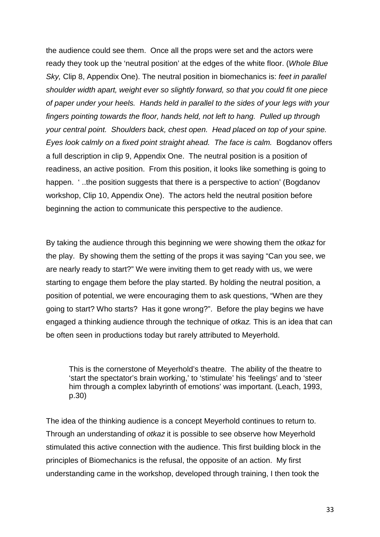the audience could see them. Once all the props were set and the actors were ready they took up the 'neutral position' at the edges of the white floor. (*Whole Blue Sky,* Clip 8, Appendix One). The neutral position in biomechanics is: *feet in parallel shoulder width apart, weight ever so slightly forward, so that you could fit one piece of paper under your heels. Hands held in parallel to the sides of your legs with your fingers pointing towards the floor, hands held, not left to hang. Pulled up through your central point. Shoulders back, chest open. Head placed on top of your spine. Eyes look calmly on a fixed point straight ahead. The face is calm.* Bogdanov offers a full description in clip 9, Appendix One. The neutral position is a position of readiness, an active position. From this position, it looks like something is going to happen. '..the position suggests that there is a perspective to action' (Bogdanov workshop, Clip 10, Appendix One). The actors held the neutral position before beginning the action to communicate this perspective to the audience.

By taking the audience through this beginning we were showing them the *otkaz* for the play. By showing them the setting of the props it was saying "Can you see, we are nearly ready to start?" We were inviting them to get ready with us, we were starting to engage them before the play started. By holding the neutral position, a position of potential, we were encouraging them to ask questions, "When are they going to start? Who starts? Has it gone wrong?". Before the play begins we have engaged a thinking audience through the technique of *otkaz.* This is an idea that can be often seen in productions today but rarely attributed to Meyerhold.

This is the cornerstone of Meyerhold's theatre. The ability of the theatre to 'start the spectator's brain working,' to 'stimulate' his 'feelings' and to 'steer him through a complex labyrinth of emotions' was important. (Leach, 1993, p.30)

The idea of the thinking audience is a concept Meyerhold continues to return to. Through an understanding of *otkaz* it is possible to see observe how Meyerhold stimulated this active connection with the audience. This first building block in the principles of Biomechanics is the refusal, the opposite of an action. My first understanding came in the workshop, developed through training, I then took the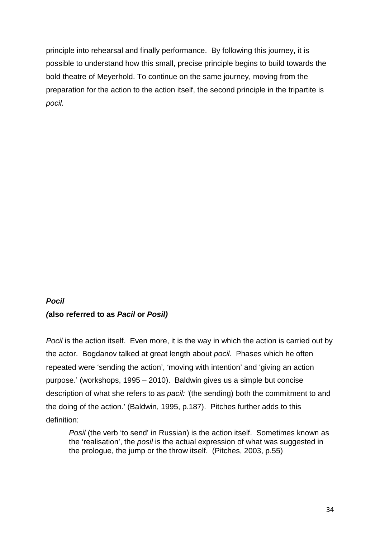principle into rehearsal and finally performance. By following this journey, it is possible to understand how this small, precise principle begins to build towards the bold theatre of Meyerhold. To continue on the same journey, moving from the preparation for the action to the action itself, the second principle in the tripartite is *pocil.*

## *Pocil (***also referred to as** *Pacil* **or** *Posil)*

*Pocil* is the action itself. Even more, it is the way in which the action is carried out by the actor. Bogdanov talked at great length about *pocil.* Phases which he often repeated were 'sending the action', 'moving with intention' and 'giving an action purpose.' (workshops, 1995 – 2010). Baldwin gives us a simple but concise description of what she refers to as *pacil: '*(the sending) both the commitment to and the doing of the action.' (Baldwin, 1995, p.187). Pitches further adds to this definition:

*Posil* (the verb 'to send' in Russian) is the action itself. Sometimes known as the 'realisation', the *posil* is the actual expression of what was suggested in the prologue, the jump or the throw itself. (Pitches, 2003, p.55)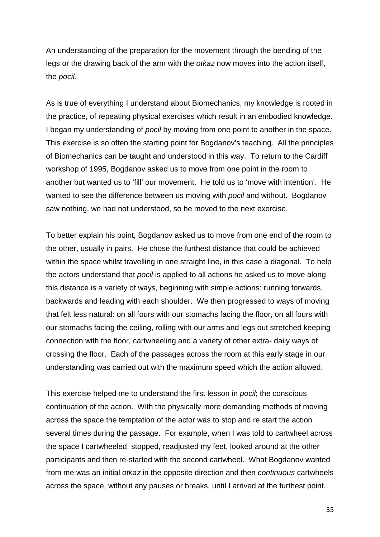An understanding of the preparation for the movement through the bending of the legs or the drawing back of the arm with the *otkaz* now moves into the action itself, the *pocil.*

As is true of everything I understand about Biomechanics, my knowledge is rooted in the practice, of repeating physical exercises which result in an embodied knowledge. I began my understanding of *pocil* by moving from one point to another in the space. This exercise is so often the starting point for Bogdanov's teaching. All the principles of Biomechanics can be taught and understood in this way. To return to the Cardiff workshop of 1995, Bogdanov asked us to move from one point in the room to another but wanted us to 'fill' our movement. He told us to 'move with intention'. He wanted to see the difference between us moving with *pocil* and without. Bogdanov saw nothing, we had not understood, so he moved to the next exercise.

To better explain his point, Bogdanov asked us to move from one end of the room to the other, usually in pairs. He chose the furthest distance that could be achieved within the space whilst travelling in one straight line, in this case a diagonal. To help the actors understand that *pocil* is applied to all actions he asked us to move along this distance is a variety of ways, beginning with simple actions: running forwards, backwards and leading with each shoulder. We then progressed to ways of moving that felt less natural: on all fours with our stomachs facing the floor, on all fours with our stomachs facing the ceiling, rolling with our arms and legs out stretched keeping connection with the floor, cartwheeling and a variety of other extra- daily ways of crossing the floor. Each of the passages across the room at this early stage in our understanding was carried out with the maximum speed which the action allowed.

This exercise helped me to understand the first lesson in *pocil*; the conscious continuation of the action. With the physically more demanding methods of moving across the space the temptation of the actor was to stop and re start the action several times during the passage. For example, when I was told to cartwheel across the space I cartwheeled, stopped, readjusted my feet, looked around at the other participants and then re-started with the second cartwheel. What Bogdanov wanted from me was an initial *otkaz* in the opposite direction and then *continuous* cartwheels across the space, without any pauses or breaks, until I arrived at the furthest point.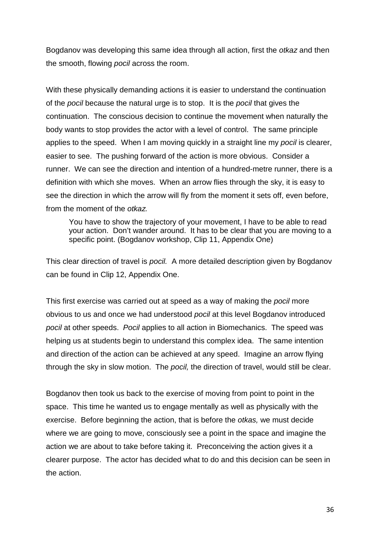Bogdanov was developing this same idea through all action, first the *otkaz* and then the smooth, flowing *pocil* across the room.

With these physically demanding actions it is easier to understand the continuation of the *pocil* because the natural urge is to stop. It is the *pocil* that gives the continuation. The conscious decision to continue the movement when naturally the body wants to stop provides the actor with a level of control. The same principle applies to the speed. When I am moving quickly in a straight line my *pocil* is clearer, easier to see. The pushing forward of the action is more obvious. Consider a runner. We can see the direction and intention of a hundred-metre runner, there is a definition with which she moves. When an arrow flies through the sky, it is easy to see the direction in which the arrow will fly from the moment it sets off, even before, from the moment of the *otkaz.* 

You have to show the trajectory of your movement, I have to be able to read your action. Don't wander around. It has to be clear that you are moving to a specific point. (Bogdanov workshop, Clip 11, Appendix One)

This clear direction of travel is *pocil.* A more detailed description given by Bogdanov can be found in Clip 12, Appendix One.

This first exercise was carried out at speed as a way of making the *pocil* more obvious to us and once we had understood *pocil* at this level Bogdanov introduced *pocil* at other speeds. *Pocil* applies to all action in Biomechanics. The speed was helping us at students begin to understand this complex idea. The same intention and direction of the action can be achieved at any speed. Imagine an arrow flying through the sky in slow motion. The *pocil,* the direction of travel, would still be clear.

Bogdanov then took us back to the exercise of moving from point to point in the space. This time he wanted us to engage mentally as well as physically with the exercise. Before beginning the action, that is before the *otkas,* we must decide where we are going to move, consciously see a point in the space and imagine the action we are about to take before taking it. Preconceiving the action gives it a clearer purpose. The actor has decided what to do and this decision can be seen in the action.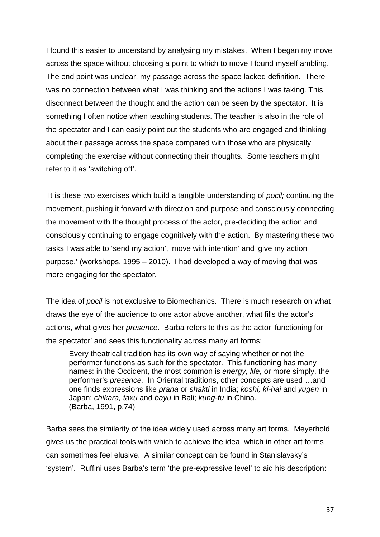I found this easier to understand by analysing my mistakes. When I began my move across the space without choosing a point to which to move I found myself ambling. The end point was unclear, my passage across the space lacked definition. There was no connection between what I was thinking and the actions I was taking. This disconnect between the thought and the action can be seen by the spectator. It is something I often notice when teaching students. The teacher is also in the role of the spectator and I can easily point out the students who are engaged and thinking about their passage across the space compared with those who are physically completing the exercise without connecting their thoughts. Some teachers might refer to it as 'switching off'.

It is these two exercises which build a tangible understanding of *pocil;* continuing the movement, pushing it forward with direction and purpose and consciously connecting the movement with the thought process of the actor, pre-deciding the action and consciously continuing to engage cognitively with the action. By mastering these two tasks I was able to 'send my action', 'move with intention' and 'give my action purpose.' (workshops, 1995 – 2010). I had developed a way of moving that was more engaging for the spectator.

The idea of *pocil* is not exclusive to Biomechanics. There is much research on what draws the eye of the audience to one actor above another, what fills the actor's actions, what gives her *presence*. Barba refers to this as the actor 'functioning for the spectator' and sees this functionality across many art forms:

Every theatrical tradition has its own way of saying whether or not the performer functions as such for the spectator. This functioning has many names: in the Occident, the most common is *energy, life,* or more simply, the performer's *presence.* In Oriental traditions, other concepts are used …and one finds expressions like *prana* or *shakti* in India; *koshi, ki-hai* and *yugen* in Japan; *chikara, taxu* and *bayu* in Bali; *kung-fu* in China. (Barba, 1991, p.74)

Barba sees the similarity of the idea widely used across many art forms. Meyerhold gives us the practical tools with which to achieve the idea, which in other art forms can sometimes feel elusive. A similar concept can be found in Stanislavsky's 'system'. Ruffini uses Barba's term 'the pre-expressive level' to aid his description: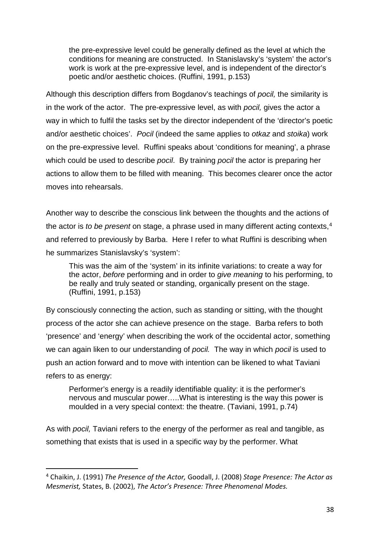the pre-expressive level could be generally defined as the level at which the conditions for meaning are constructed. In Stanislavsky's 'system' the actor's work is work at the pre-expressive level, and is independent of the director's poetic and/or aesthetic choices. (Ruffini, 1991, p.153)

Although this description differs from Bogdanov's teachings of *pocil,* the similarity is in the work of the actor. The pre-expressive level, as with *pocil,* gives the actor a way in which to fulfil the tasks set by the director independent of the 'director's poetic and/or aesthetic choices'. *Pocil* (indeed the same applies to *otkaz* and *stoika*) work on the pre-expressive level. Ruffini speaks about 'conditions for meaning', a phrase which could be used to describe *pocil*. By training *pocil* the actor is preparing her actions to allow them to be filled with meaning. This becomes clearer once the actor moves into rehearsals.

Another way to describe the conscious link between the thoughts and the actions of the actor is *to be present* on stage, a phrase used in many different acting contexts,<sup>[4](#page-38-0)</sup> and referred to previously by Barba. Here I refer to what Ruffini is describing when he summarizes Stanislavsky's 'system':

This was the aim of the 'system' in its infinite variations: to create a way for the actor, *before* performing and in order to *give meaning* to his performing, to be really and truly seated or standing, organically present on the stage. (Ruffini, 1991, p.153)

By consciously connecting the action, such as standing or sitting, with the thought process of the actor she can achieve presence on the stage. Barba refers to both 'presence' and 'energy' when describing the work of the occidental actor, something we can again liken to our understanding of *pocil.* The way in which *pocil* is used to push an action forward and to move with intention can be likened to what Taviani refers to as energy:

Performer's energy is a readily identifiable quality: it is the performer's nervous and muscular power…..What is interesting is the way this power is moulded in a very special context: the theatre. (Taviani, 1991, p.74)

As with *pocil,* Taviani refers to the energy of the performer as real and tangible, as something that exists that is used in a specific way by the performer. What

<span id="page-38-0"></span> <sup>4</sup> Chaikin, J. (1991) *The Presence of the Actor,* Goodall, J. (2008) *Stage Presence: The Actor as Mesmerist,* States, B. (2002), *The Actor's Presence: Three Phenomenal Modes.*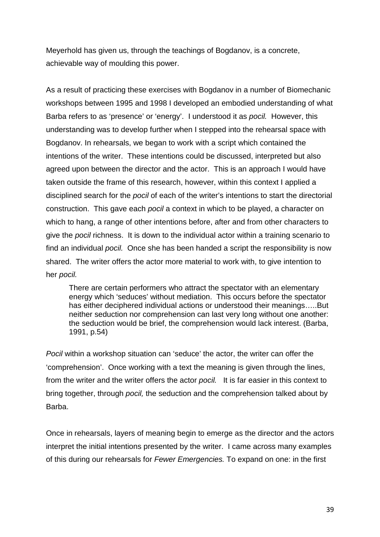Meyerhold has given us, through the teachings of Bogdanov, is a concrete, achievable way of moulding this power.

As a result of practicing these exercises with Bogdanov in a number of Biomechanic workshops between 1995 and 1998 I developed an embodied understanding of what Barba refers to as 'presence' or 'energy'. I understood it as *pocil.* However, this understanding was to develop further when I stepped into the rehearsal space with Bogdanov. In rehearsals, we began to work with a script which contained the intentions of the writer. These intentions could be discussed, interpreted but also agreed upon between the director and the actor. This is an approach I would have taken outside the frame of this research, however, within this context I applied a disciplined search for the *pocil* of each of the writer's intentions to start the directorial construction. This gave each *pocil* a context in which to be played, a character on which to hang, a range of other intentions before, after and from other characters to give the *pocil* richness. It is down to the individual actor within a training scenario to find an individual *pocil.* Once she has been handed a script the responsibility is now shared. The writer offers the actor more material to work with, to give intention to her *pocil.* 

There are certain performers who attract the spectator with an elementary energy which 'seduces' without mediation. This occurs before the spectator has either deciphered individual actions or understood their meanings…..But neither seduction nor comprehension can last very long without one another: the seduction would be brief, the comprehension would lack interest. (Barba, 1991, p.54)

*Pocil* within a workshop situation can 'seduce' the actor, the writer can offer the 'comprehension'. Once working with a text the meaning is given through the lines, from the writer and the writer offers the actor *pocil.* It is far easier in this context to bring together, through *pocil,* the seduction and the comprehension talked about by Barba.

Once in rehearsals, layers of meaning begin to emerge as the director and the actors interpret the initial intentions presented by the writer. I came across many examples of this during our rehearsals for *Fewer Emergencies.* To expand on one: in the first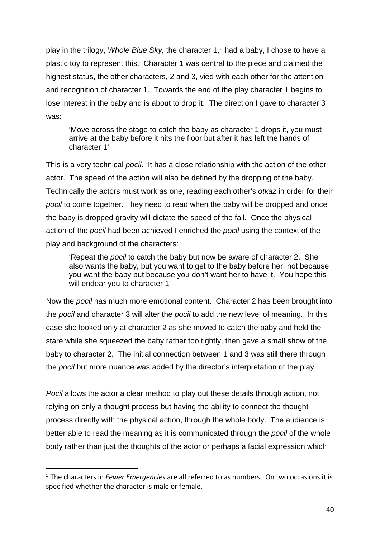play in the trilogy, *Whole Blue Sky,* the character 1,[5](#page-40-0) had a baby, I chose to have a plastic toy to represent this. Character 1 was central to the piece and claimed the highest status, the other characters, 2 and 3, vied with each other for the attention and recognition of character 1. Towards the end of the play character 1 begins to lose interest in the baby and is about to drop it. The direction I gave to character 3 was:

'Move across the stage to catch the baby as character 1 drops it, you must arrive at the baby before it hits the floor but after it has left the hands of character 1'.

This is a very technical *pocil*. It has a close relationship with the action of the other actor. The speed of the action will also be defined by the dropping of the baby. Technically the actors must work as one, reading each other's *otkaz* in order for their *pocil* to come together. They need to read when the baby will be dropped and once the baby is dropped gravity will dictate the speed of the fall. Once the physical action of the *pocil* had been achieved I enriched the *pocil* using the context of the play and background of the characters:

'Repeat the *pocil* to catch the baby but now be aware of character 2. She also wants the baby, but you want to get to the baby before her, not because you want the baby but because you don't want her to have it. You hope this will endear you to character 1'

Now the *pocil* has much more emotional content. Character 2 has been brought into the *pocil* and character 3 will alter the *pocil* to add the new level of meaning. In this case she looked only at character 2 as she moved to catch the baby and held the stare while she squeezed the baby rather too tightly, then gave a small show of the baby to character 2. The initial connection between 1 and 3 was still there through the *pocil* but more nuance was added by the director's interpretation of the play.

*Pocil* allows the actor a clear method to play out these details through action, not relying on only a thought process but having the ability to connect the thought process directly with the physical action, through the whole body. The audience is better able to read the meaning as it is communicated through the *pocil* of the whole body rather than just the thoughts of the actor or perhaps a facial expression which

<span id="page-40-0"></span> <sup>5</sup> The characters in *Fewer Emergencies* are all referred to as numbers. On two occasions it is specified whether the character is male or female.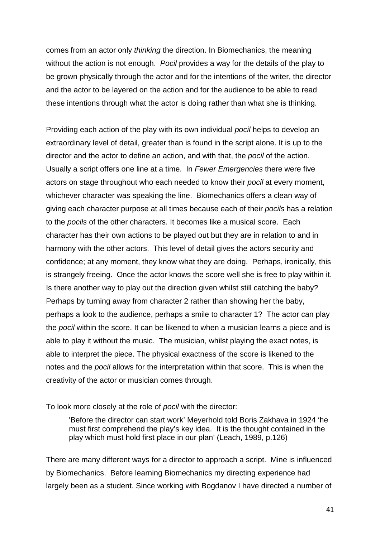comes from an actor only *thinking* the direction. In Biomechanics, the meaning without the action is not enough. *Pocil* provides a way for the details of the play to be grown physically through the actor and for the intentions of the writer, the director and the actor to be layered on the action and for the audience to be able to read these intentions through what the actor is doing rather than what she is thinking.

Providing each action of the play with its own individual *pocil* helps to develop an extraordinary level of detail, greater than is found in the script alone. It is up to the director and the actor to define an action, and with that, the *pocil* of the action. Usually a script offers one line at a time. In *Fewer Emergencies* there were five actors on stage throughout who each needed to know their *pocil* at every moment, whichever character was speaking the line. Biomechanics offers a clean way of giving each character purpose at all times because each of their *pocils* has a relation to the *pocils* of the other characters. It becomes like a musical score. Each character has their own actions to be played out but they are in relation to and in harmony with the other actors. This level of detail gives the actors security and confidence; at any moment, they know what they are doing. Perhaps, ironically, this is strangely freeing. Once the actor knows the score well she is free to play within it. Is there another way to play out the direction given whilst still catching the baby? Perhaps by turning away from character 2 rather than showing her the baby, perhaps a look to the audience, perhaps a smile to character 1? The actor can play the *pocil* within the score. It can be likened to when a musician learns a piece and is able to play it without the music. The musician, whilst playing the exact notes, is able to interpret the piece. The physical exactness of the score is likened to the notes and the *pocil* allows for the interpretation within that score. This is when the creativity of the actor or musician comes through.

To look more closely at the role of *pocil* with the director:

'Before the director can start work' Meyerhold told Boris Zakhava in 1924 'he must first comprehend the play's key idea. It is the thought contained in the play which must hold first place in our plan' (Leach, 1989, p.126)

There are many different ways for a director to approach a script. Mine is influenced by Biomechanics. Before learning Biomechanics my directing experience had largely been as a student. Since working with Bogdanov I have directed a number of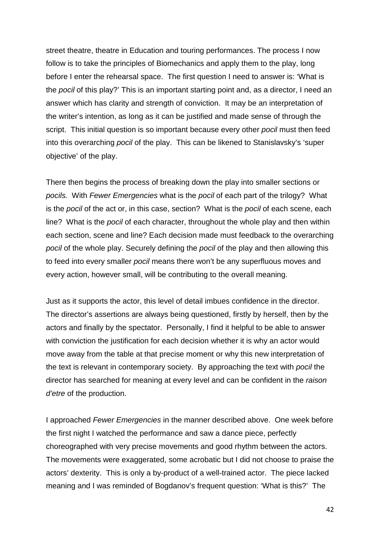street theatre, theatre in Education and touring performances. The process I now follow is to take the principles of Biomechanics and apply them to the play, long before I enter the rehearsal space. The first question I need to answer is: 'What is the *pocil* of this play?' This is an important starting point and, as a director, I need an answer which has clarity and strength of conviction. It may be an interpretation of the writer's intention, as long as it can be justified and made sense of through the script. This initial question is so important because every other *pocil* must then feed into this overarching *pocil* of the play. This can be likened to Stanislavsky's 'super objective' of the play.

There then begins the process of breaking down the play into smaller sections or *pocils.* With *Fewer Emergencies* what is the *pocil* of each part of the trilogy? What is the *pocil* of the act or, in this case, section? What is the *pocil* of each scene, each line? What is the *pocil* of each character, throughout the whole play and then within each section, scene and line? Each decision made must feedback to the overarching *pocil* of the whole play. Securely defining the *pocil* of the play and then allowing this to feed into every smaller *pocil* means there won't be any superfluous moves and every action, however small, will be contributing to the overall meaning.

Just as it supports the actor, this level of detail imbues confidence in the director. The director's assertions are always being questioned, firstly by herself, then by the actors and finally by the spectator. Personally, I find it helpful to be able to answer with conviction the justification for each decision whether it is why an actor would move away from the table at that precise moment or why this new interpretation of the text is relevant in contemporary society. By approaching the text with *pocil* the director has searched for meaning at every level and can be confident in the *raison d'etre* of the production.

I approached *Fewer Emergencies* in the manner described above. One week before the first night I watched the performance and saw a dance piece, perfectly choreographed with very precise movements and good rhythm between the actors. The movements were exaggerated, some acrobatic but I did not choose to praise the actors' dexterity. This is only a by-product of a well-trained actor. The piece lacked meaning and I was reminded of Bogdanov's frequent question: 'What is this?' The

42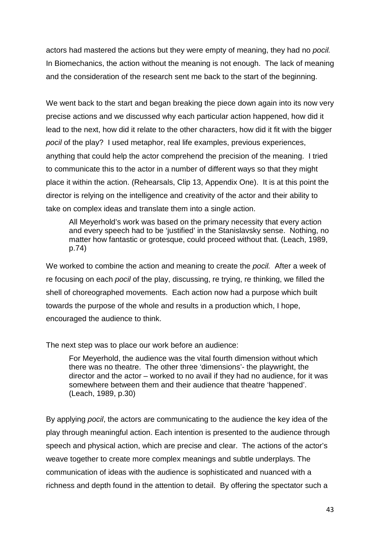actors had mastered the actions but they were empty of meaning, they had no *pocil.*  In Biomechanics, the action without the meaning is not enough. The lack of meaning and the consideration of the research sent me back to the start of the beginning.

We went back to the start and began breaking the piece down again into its now very precise actions and we discussed why each particular action happened, how did it lead to the next, how did it relate to the other characters, how did it fit with the bigger *pocil* of the play? I used metaphor, real life examples, previous experiences, anything that could help the actor comprehend the precision of the meaning. I tried to communicate this to the actor in a number of different ways so that they might place it within the action. (Rehearsals, Clip 13, Appendix One). It is at this point the director is relying on the intelligence and creativity of the actor and their ability to take on complex ideas and translate them into a single action.

All Meyerhold's work was based on the primary necessity that every action and every speech had to be 'justified' in the Stanislavsky sense. Nothing, no matter how fantastic or grotesque, could proceed without that. (Leach, 1989, p.74)

We worked to combine the action and meaning to create the *pocil.* After a week of re focusing on each *pocil* of the play, discussing, re trying, re thinking, we filled the shell of choreographed movements. Each action now had a purpose which built towards the purpose of the whole and results in a production which, I hope, encouraged the audience to think.

The next step was to place our work before an audience:

For Meyerhold, the audience was the vital fourth dimension without which there was no theatre. The other three 'dimensions'- the playwright, the director and the actor – worked to no avail if they had no audience, for it was somewhere between them and their audience that theatre 'happened'. (Leach, 1989, p.30)

By applying *pocil*, the actors are communicating to the audience the key idea of the play through meaningful action. Each intention is presented to the audience through speech and physical action, which are precise and clear. The actions of the actor's weave together to create more complex meanings and subtle underplays. The communication of ideas with the audience is sophisticated and nuanced with a richness and depth found in the attention to detail. By offering the spectator such a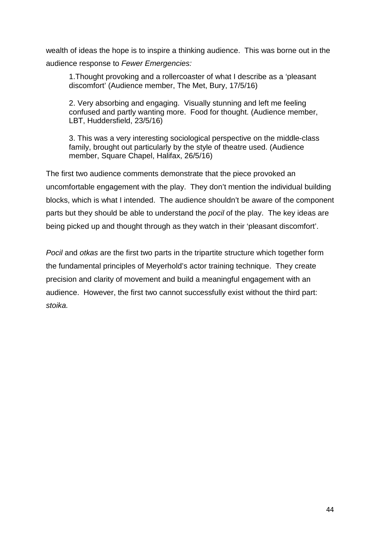wealth of ideas the hope is to inspire a thinking audience. This was borne out in the audience response to *Fewer Emergencies:*

1.Thought provoking and a rollercoaster of what I describe as a 'pleasant discomfort' (Audience member, The Met, Bury, 17/5/16)

2. Very absorbing and engaging. Visually stunning and left me feeling confused and partly wanting more. Food for thought. (Audience member, LBT, Huddersfield, 23/5/16)

3. This was a very interesting sociological perspective on the middle-class family, brought out particularly by the style of theatre used. (Audience member, Square Chapel, Halifax, 26/5/16)

The first two audience comments demonstrate that the piece provoked an uncomfortable engagement with the play. They don't mention the individual building blocks, which is what I intended. The audience shouldn't be aware of the component parts but they should be able to understand the *pocil* of the play. The key ideas are being picked up and thought through as they watch in their 'pleasant discomfort'.

*Pocil* and *otkas* are the first two parts in the tripartite structure which together form the fundamental principles of Meyerhold's actor training technique. They create precision and clarity of movement and build a meaningful engagement with an audience. However, the first two cannot successfully exist without the third part: *stoika.*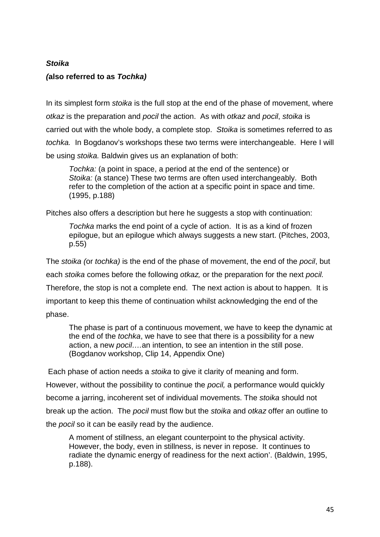# *Stoika*

# *(***also referred to as** *Tochka)*

In its simplest form *stoika* is the full stop at the end of the phase of movement, where *otkaz* is the preparation and *pocil* the action. As with *otkaz* and *pocil*, *stoika* is carried out with the whole body, a complete stop. *Stoika* is sometimes referred to as *tochka.* In Bogdanov's workshops these two terms were interchangeable. Here I will be using *stoika.* Baldwin gives us an explanation of both:

*Tochka:* (a point in space, a period at the end of the sentence) or *Stoika:* (a stance) These two terms are often used interchangeably. Both refer to the completion of the action at a specific point in space and time. (1995, p.188)

Pitches also offers a description but here he suggests a stop with continuation:

*Tochka* marks the end point of a cycle of action. It is as a kind of frozen epilogue, but an epilogue which always suggests a new start. (Pitches, 2003, p.55)

The *stoika (*or *tochka)* is the end of the phase of movement, the end of the *pocil*, but each *stoika* comes before the following *otkaz,* or the preparation for the next *pocil.*  Therefore, the stop is not a complete end. The next action is about to happen. It is important to keep this theme of continuation whilst acknowledging the end of the phase.

The phase is part of a continuous movement, we have to keep the dynamic at the end of the *tochka*, we have to see that there is a possibility for a new action, a new *pocil….*an intention, to see an intention in the still pose. (Bogdanov workshop, Clip 14, Appendix One)

Each phase of action needs a *stoika* to give it clarity of meaning and form.

However, without the possibility to continue the *pocil,* a performance would quickly

become a jarring, incoherent set of individual movements. The *stoika* should not

break up the action. The *pocil* must flow but the *stoika* and *otkaz* offer an outline to

the *pocil* so it can be easily read by the audience.

A moment of stillness, an elegant counterpoint to the physical activity. However, the body, even in stillness, is never in repose. It continues to radiate the dynamic energy of readiness for the next action'. (Baldwin, 1995, p.188).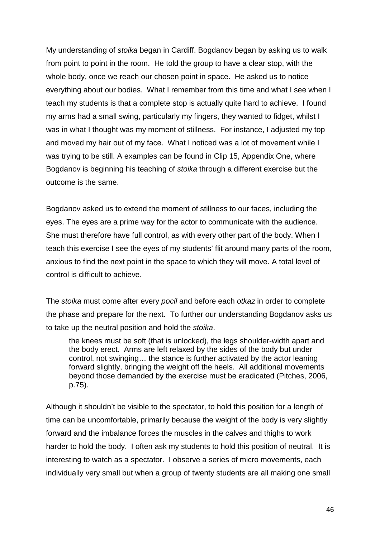My understanding of *stoika* began in Cardiff. Bogdanov began by asking us to walk from point to point in the room. He told the group to have a clear stop, with the whole body, once we reach our chosen point in space. He asked us to notice everything about our bodies. What I remember from this time and what I see when I teach my students is that a complete stop is actually quite hard to achieve. I found my arms had a small swing, particularly my fingers, they wanted to fidget, whilst I was in what I thought was my moment of stillness. For instance, I adjusted my top and moved my hair out of my face. What I noticed was a lot of movement while I was trying to be still. A examples can be found in Clip 15, Appendix One, where Bogdanov is beginning his teaching of *stoika* through a different exercise but the outcome is the same.

Bogdanov asked us to extend the moment of stillness to our faces, including the eyes. The eyes are a prime way for the actor to communicate with the audience. She must therefore have full control, as with every other part of the body. When I teach this exercise I see the eyes of my students' flit around many parts of the room, anxious to find the next point in the space to which they will move. A total level of control is difficult to achieve.

The *stoika* must come after every *pocil* and before each *otkaz* in order to complete the phase and prepare for the next. To further our understanding Bogdanov asks us to take up the neutral position and hold the *stoika*.

the knees must be soft (that is unlocked), the legs shoulder-width apart and the body erect. Arms are left relaxed by the sides of the body but under control, not swinging… the stance is further activated by the actor leaning forward slightly, bringing the weight off the heels. All additional movements beyond those demanded by the exercise must be eradicated (Pitches, 2006, p.75).

Although it shouldn't be visible to the spectator, to hold this position for a length of time can be uncomfortable, primarily because the weight of the body is very slightly forward and the imbalance forces the muscles in the calves and thighs to work harder to hold the body. I often ask my students to hold this position of neutral. It is interesting to watch as a spectator. I observe a series of micro movements, each individually very small but when a group of twenty students are all making one small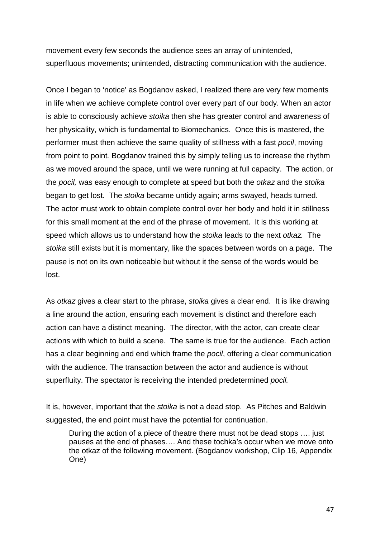movement every few seconds the audience sees an array of unintended, superfluous movements; unintended, distracting communication with the audience.

Once I began to 'notice' as Bogdanov asked, I realized there are very few moments in life when we achieve complete control over every part of our body. When an actor is able to consciously achieve *stoika* then she has greater control and awareness of her physicality, which is fundamental to Biomechanics. Once this is mastered, the performer must then achieve the same quality of stillness with a fast *pocil*, moving from point to point*.* Bogdanov trained this by simply telling us to increase the rhythm as we moved around the space, until we were running at full capacity. The action, or the *pocil,* was easy enough to complete at speed but both the *otkaz* and the *stoika*  began to get lost. The *stoika* became untidy again; arms swayed, heads turned. The actor must work to obtain complete control over her body and hold it in stillness for this small moment at the end of the phrase of movement. It is this working at speed which allows us to understand how the *stoika* leads to the next *otkaz.* The *stoika* still exists but it is momentary, like the spaces between words on a page. The pause is not on its own noticeable but without it the sense of the words would be lost.

As *otkaz* gives a clear start to the phrase, *stoika* gives a clear end. It is like drawing a line around the action, ensuring each movement is distinct and therefore each action can have a distinct meaning. The director, with the actor, can create clear actions with which to build a scene. The same is true for the audience. Each action has a clear beginning and end which frame the *pocil*, offering a clear communication with the audience. The transaction between the actor and audience is without superfluity. The spectator is receiving the intended predetermined *pocil.*

It is, however, important that the *stoika* is not a dead stop. As Pitches and Baldwin suggested, the end point must have the potential for continuation.

During the action of a piece of theatre there must not be dead stops …. just pauses at the end of phases…. And these tochka's occur when we move onto the otkaz of the following movement. (Bogdanov workshop, Clip 16, Appendix One)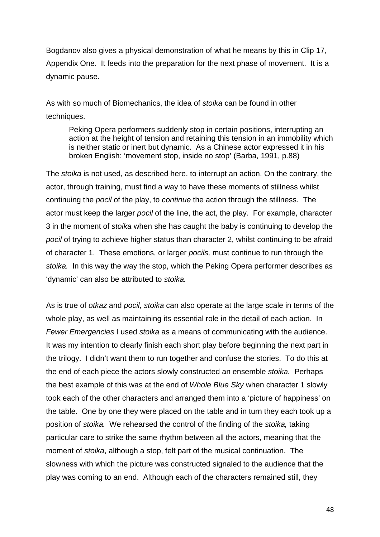Bogdanov also gives a physical demonstration of what he means by this in Clip 17, Appendix One. It feeds into the preparation for the next phase of movement. It is a dynamic pause.

As with so much of Biomechanics, the idea of *stoika* can be found in other techniques.

Peking Opera performers suddenly stop in certain positions, interrupting an action at the height of tension and retaining this tension in an immobility which is neither static or inert but dynamic. As a Chinese actor expressed it in his broken English: 'movement stop, inside no stop' (Barba, 1991, p.88)

The *stoika* is not used, as described here, to interrupt an action. On the contrary, the actor, through training, must find a way to have these moments of stillness whilst continuing the *pocil* of the play, to *continue* the action through the stillness. The actor must keep the larger *pocil* of the line, the act, the play. For example, character 3 in the moment of *stoika* when she has caught the baby is continuing to develop the *pocil* of trying to achieve higher status than character 2, whilst continuing to be afraid of character 1. These emotions, or larger *pocils,* must continue to run through the *stoika.* In this way the way the stop, which the Peking Opera performer describes as 'dynamic' can also be attributed to *stoika.*

As is true of *otkaz* and *pocil, stoika* can also operate at the large scale in terms of the whole play, as well as maintaining its essential role in the detail of each action. In *Fewer Emergencies* I used *stoika* as a means of communicating with the audience. It was my intention to clearly finish each short play before beginning the next part in the trilogy. I didn't want them to run together and confuse the stories. To do this at the end of each piece the actors slowly constructed an ensemble *stoika.* Perhaps the best example of this was at the end of *Whole Blue Sky* when character 1 slowly took each of the other characters and arranged them into a 'picture of happiness' on the table. One by one they were placed on the table and in turn they each took up a position of *stoika.* We rehearsed the control of the finding of the *stoika,* taking particular care to strike the same rhythm between all the actors, meaning that the moment of *stoika*, although a stop, felt part of the musical continuation. The slowness with which the picture was constructed signaled to the audience that the play was coming to an end. Although each of the characters remained still, they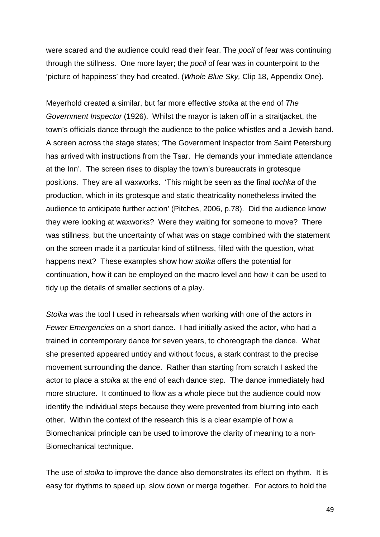were scared and the audience could read their fear. The *pocil* of fear was continuing through the stillness. One more layer; the *pocil* of fear was in counterpoint to the 'picture of happiness' they had created. (*Whole Blue Sky,* Clip 18, Appendix One).

Meyerhold created a similar, but far more effective *stoika* at the end of *The Government Inspector* (1926). Whilst the mayor is taken off in a straitjacket, the town's officials dance through the audience to the police whistles and a Jewish band. A screen across the stage states; 'The Government Inspector from Saint Petersburg has arrived with instructions from the Tsar. He demands your immediate attendance at the Inn'. The screen rises to display the town's bureaucrats in grotesque positions. They are all waxworks. 'This might be seen as the final *tochka* of the production, which in its grotesque and static theatricality nonetheless invited the audience to anticipate further action' (Pitches, 2006, p.78). Did the audience know they were looking at waxworks? Were they waiting for someone to move? There was stillness, but the uncertainty of what was on stage combined with the statement on the screen made it a particular kind of stillness, filled with the question, what happens next? These examples show how *stoika* offers the potential for continuation, how it can be employed on the macro level and how it can be used to tidy up the details of smaller sections of a play.

*Stoika* was the tool I used in rehearsals when working with one of the actors in *Fewer Emergencies* on a short dance. I had initially asked the actor, who had a trained in contemporary dance for seven years, to choreograph the dance. What she presented appeared untidy and without focus, a stark contrast to the precise movement surrounding the dance. Rather than starting from scratch I asked the actor to place a *stoika* at the end of each dance step. The dance immediately had more structure. It continued to flow as a whole piece but the audience could now identify the individual steps because they were prevented from blurring into each other. Within the context of the research this is a clear example of how a Biomechanical principle can be used to improve the clarity of meaning to a non-Biomechanical technique.

The use of *stoika* to improve the dance also demonstrates its effect on rhythm. It is easy for rhythms to speed up, slow down or merge together. For actors to hold the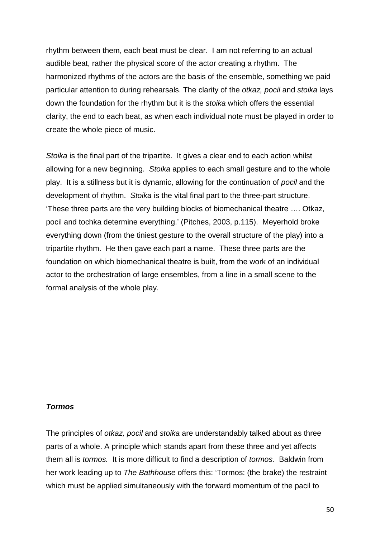rhythm between them, each beat must be clear. I am not referring to an actual audible beat, rather the physical score of the actor creating a rhythm. The harmonized rhythms of the actors are the basis of the ensemble, something we paid particular attention to during rehearsals. The clarity of the *otkaz, pocil* and *stoika* lays down the foundation for the rhythm but it is the *stoika* which offers the essential clarity, the end to each beat, as when each individual note must be played in order to create the whole piece of music.

*Stoika* is the final part of the tripartite. It gives a clear end to each action whilst allowing for a new beginning. *Stoika* applies to each small gesture and to the whole play. It is a stillness but it is dynamic, allowing for the continuation of *pocil* and the development of rhythm. *Stoika* is the vital final part to the three-part structure. 'These three parts are the very building blocks of biomechanical theatre …. Otkaz, pocil and tochka determine everything.' (Pitches, 2003, p.115). Meyerhold broke everything down (from the tiniest gesture to the overall structure of the play) into a tripartite rhythm. He then gave each part a name. These three parts are the foundation on which biomechanical theatre is built, from the work of an individual actor to the orchestration of large ensembles, from a line in a small scene to the formal analysis of the whole play.

### *Tormos*

The principles of *otkaz, pocil* and *stoika* are understandably talked about as three parts of a whole. A principle which stands apart from these three and yet affects them all is *tormos.* It is more difficult to find a description of *tormos.* Baldwin from her work leading up to *The Bathhouse* offers this: 'Tormos: (the brake) the restraint which must be applied simultaneously with the forward momentum of the pacil to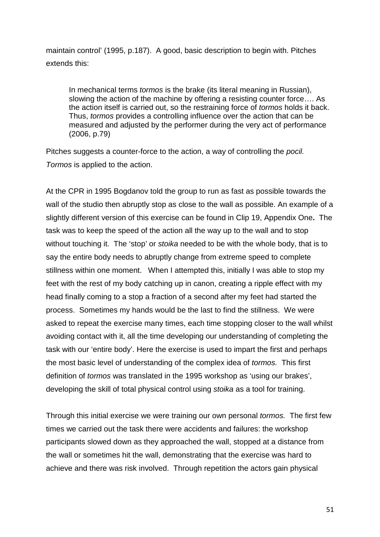maintain control' (1995, p.187). A good, basic description to begin with. Pitches extends this:

In mechanical terms *tormos* is the brake (its literal meaning in Russian), slowing the action of the machine by offering a resisting counter force…. As the action itself is carried out, so the restraining force of *tormos* holds it back. Thus, *tormos* provides a controlling influence over the action that can be measured and adjusted by the performer during the very act of performance (2006, p.79)

Pitches suggests a counter-force to the action, a way of controlling the *pocil. Tormos* is applied to the action.

At the CPR in 1995 Bogdanov told the group to run as fast as possible towards the wall of the studio then abruptly stop as close to the wall as possible. An example of a slightly different version of this exercise can be found in Clip 19, Appendix One**.** The task was to keep the speed of the action all the way up to the wall and to stop without touching it. The 'stop' or *stoika* needed to be with the whole body, that is to say the entire body needs to abruptly change from extreme speed to complete stillness within one moment. When I attempted this, initially I was able to stop my feet with the rest of my body catching up in canon, creating a ripple effect with my head finally coming to a stop a fraction of a second after my feet had started the process. Sometimes my hands would be the last to find the stillness. We were asked to repeat the exercise many times, each time stopping closer to the wall whilst avoiding contact with it, all the time developing our understanding of completing the task with our 'entire body'. Here the exercise is used to impart the first and perhaps the most basic level of understanding of the complex idea of *tormos.* This first definition of *tormos* was translated in the 1995 workshop as 'using our brakes', developing the skill of total physical control using *stoika* as a tool for training.

Through this initial exercise we were training our own personal *tormos.* The first few times we carried out the task there were accidents and failures: the workshop participants slowed down as they approached the wall, stopped at a distance from the wall or sometimes hit the wall, demonstrating that the exercise was hard to achieve and there was risk involved. Through repetition the actors gain physical

51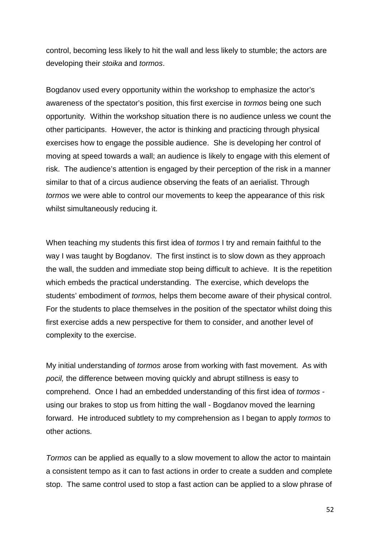control, becoming less likely to hit the wall and less likely to stumble; the actors are developing their *stoika* and *tormos*.

Bogdanov used every opportunity within the workshop to emphasize the actor's awareness of the spectator's position, this first exercise in *tormos* being one such opportunity*.* Within the workshop situation there is no audience unless we count the other participants. However, the actor is thinking and practicing through physical exercises how to engage the possible audience. She is developing her control of moving at speed towards a wall; an audience is likely to engage with this element of risk. The audience's attention is engaged by their perception of the risk in a manner similar to that of a circus audience observing the feats of an aerialist. Through *tormos* we were able to control our movements to keep the appearance of this risk whilst simultaneously reducing it.

When teaching my students this first idea of *tormos* I try and remain faithful to the way I was taught by Bogdanov. The first instinct is to slow down as they approach the wall, the sudden and immediate stop being difficult to achieve. It is the repetition which embeds the practical understanding. The exercise, which develops the students' embodiment of *tormos,* helps them become aware of their physical control. For the students to place themselves in the position of the spectator whilst doing this first exercise adds a new perspective for them to consider, and another level of complexity to the exercise.

My initial understanding of *tormos* arose from working with fast movement. As with *pocil,* the difference between moving quickly and abrupt stillness is easy to comprehend. Once I had an embedded understanding of this first idea of *tormos*  using our brakes to stop us from hitting the wall - Bogdanov moved the learning forward. He introduced subtlety to my comprehension as I began to apply *tormos* to other actions.

*Tormos* can be applied as equally to a slow movement to allow the actor to maintain a consistent tempo as it can to fast actions in order to create a sudden and complete stop. The same control used to stop a fast action can be applied to a slow phrase of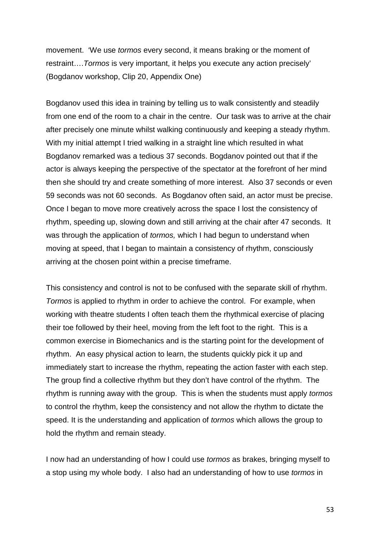movement. 'We use *tormos* every second, it means braking or the moment of restraint….*Tormos* is very important, it helps you execute any action precisely' (Bogdanov workshop, Clip 20, Appendix One)

Bogdanov used this idea in training by telling us to walk consistently and steadily from one end of the room to a chair in the centre. Our task was to arrive at the chair after precisely one minute whilst walking continuously and keeping a steady rhythm. With my initial attempt I tried walking in a straight line which resulted in what Bogdanov remarked was a tedious 37 seconds. Bogdanov pointed out that if the actor is always keeping the perspective of the spectator at the forefront of her mind then she should try and create something of more interest. Also 37 seconds or even 59 seconds was not 60 seconds. As Bogdanov often said, an actor must be precise. Once I began to move more creatively across the space I lost the consistency of rhythm, speeding up, slowing down and still arriving at the chair after 47 seconds. It was through the application of *tormos,* which I had begun to understand when moving at speed, that I began to maintain a consistency of rhythm, consciously arriving at the chosen point within a precise timeframe.

This consistency and control is not to be confused with the separate skill of rhythm. *Tormos* is applied to rhythm in order to achieve the control. For example, when working with theatre students I often teach them the rhythmical exercise of placing their toe followed by their heel, moving from the left foot to the right. This is a common exercise in Biomechanics and is the starting point for the development of rhythm. An easy physical action to learn, the students quickly pick it up and immediately start to increase the rhythm, repeating the action faster with each step. The group find a collective rhythm but they don't have control of the rhythm. The rhythm is running away with the group. This is when the students must apply *tormos*  to control the rhythm, keep the consistency and not allow the rhythm to dictate the speed. It is the understanding and application of *tormos* which allows the group to hold the rhythm and remain steady.

I now had an understanding of how I could use *tormos* as brakes, bringing myself to a stop using my whole body. I also had an understanding of how to use *tormos* in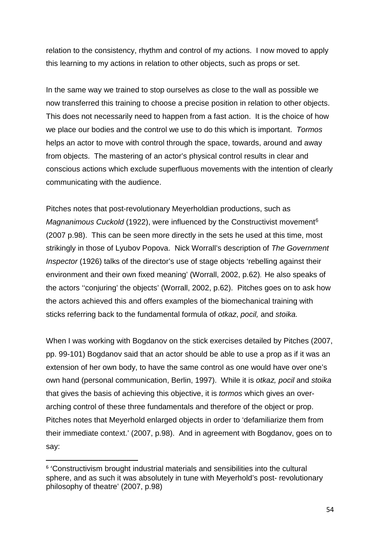relation to the consistency, rhythm and control of my actions. I now moved to apply this learning to my actions in relation to other objects, such as props or set.

In the same way we trained to stop ourselves as close to the wall as possible we now transferred this training to choose a precise position in relation to other objects. This does not necessarily need to happen from a fast action. It is the choice of how we place our bodies and the control we use to do this which is important. *Tormos* helps an actor to move with control through the space, towards, around and away from objects. The mastering of an actor's physical control results in clear and conscious actions which exclude superfluous movements with the intention of clearly communicating with the audience.

Pitches notes that post-revolutionary Meyerholdian productions, such as *Magnanimous Cuckold* (1922), were influenced by the Constructivist movement<sup>[6](#page-54-0)</sup> (2007 p.98). This can be seen more directly in the sets he used at this time, most strikingly in those of Lyubov Popova. Nick Worrall's description of *The Government Inspector* (1926) talks of the director's use of stage objects 'rebelling against their environment and their own fixed meaning' (Worrall, 2002, p.62). He also speaks of the actors ''conjuring' the objects' (Worrall, 2002, p.62). Pitches goes on to ask how the actors achieved this and offers examples of the biomechanical training with sticks referring back to the fundamental formula of *otkaz*, *pocil,* and *stoika.*

When I was working with Bogdanov on the stick exercises detailed by Pitches (2007, pp. 99-101) Bogdanov said that an actor should be able to use a prop as if it was an extension of her own body, to have the same control as one would have over one's own hand (personal communication, Berlin, 1997). While it is *otkaz, pocil* and *stoika*  that gives the basis of achieving this objective, it is *tormos* which gives an overarching control of these three fundamentals and therefore of the object or prop. Pitches notes that Meyerhold enlarged objects in order to 'defamiliarize them from their immediate context.' (2007, p.98). And in agreement with Bogdanov, goes on to say:

<span id="page-54-0"></span> <sup>6</sup> 'Constructivism brought industrial materials and sensibilities into the cultural sphere, and as such it was absolutely in tune with Meyerhold's post- revolutionary philosophy of theatre' (2007, p.98)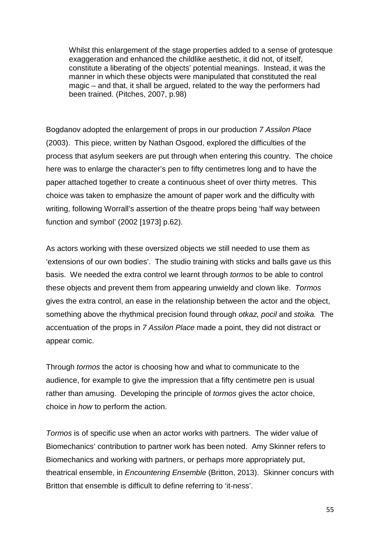Whilst this enlargement of the stage properties added to a sense of grotesque exaggeration and enhanced the childlike aesthetic, it did not, of itself, constitute a liberating of the objects' potential meanings. Instead, it was the manner in which these objects were manipulated that constituted the real magic – and that, it shall be argued, related to the way the performers had been trained. (Pitches, 2007, p.98)

Bogdanov adopted the enlargement of props in our production *7 Assilon Place*  (2003). This piece, written by Nathan Osgood, explored the difficulties of the process that asylum seekers are put through when entering this country. The choice here was to enlarge the character's pen to fifty centimetres long and to have the paper attached together to create a continuous sheet of over thirty metres. This choice was taken to emphasize the amount of paper work and the difficulty with writing, following Worrall's assertion of the theatre props being 'half way between function and symbol' (2002 [1973] p.62).

As actors working with these oversized objects we still needed to use them as 'extensions of our own bodies'. The studio training with sticks and balls gave us this basis. We needed the extra control we learnt through *tormos* to be able to control these objects and prevent them from appearing unwieldy and clown like. *Tormos*  gives the extra control, an ease in the relationship between the actor and the object, something above the rhythmical precision found through *otkaz, pocil* and *stoika.* The accentuation of the props in *7 Assilon Place* made a point, they did not distract or appear comic.

Through *tormos* the actor is choosing how and what to communicate to the audience, for example to give the impression that a fifty centimetre pen is usual rather than amusing. Developing the principle of *tormos* gives the actor choice, choice in *how* to perform the action.

*Tormos* is of specific use when an actor works with partners. The wider value of Biomechanics' contribution to partner work has been noted. Amy Skinner refers to Biomechanics and working with partners, or perhaps more appropriately put, theatrical ensemble, in *Encountering Ensemble* (Britton, 2013). Skinner concurs with Britton that ensemble is difficult to define referring to 'it-ness'.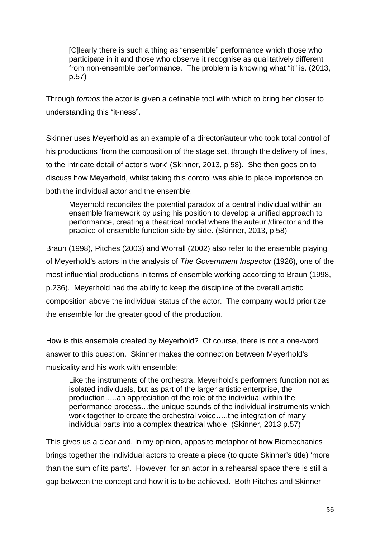[C]learly there is such a thing as "ensemble" performance which those who participate in it and those who observe it recognise as qualitatively different from non-ensemble performance. The problem is knowing what "it" is. (2013, p.57)

Through *tormos* the actor is given a definable tool with which to bring her closer to understanding this "it-ness".

Skinner uses Meyerhold as an example of a director/auteur who took total control of his productions 'from the composition of the stage set, through the delivery of lines, to the intricate detail of actor's work' (Skinner, 2013, p 58). She then goes on to discuss how Meyerhold, whilst taking this control was able to place importance on both the individual actor and the ensemble:

Meyerhold reconciles the potential paradox of a central individual within an ensemble framework by using his position to develop a unified approach to performance, creating a theatrical model where the auteur /director and the practice of ensemble function side by side. (Skinner, 2013, p.58)

Braun (1998), Pitches (2003) and Worrall (2002) also refer to the ensemble playing of Meyerhold's actors in the analysis of *The Government Inspector* (1926), one of the most influential productions in terms of ensemble working according to Braun (1998, p.236). Meyerhold had the ability to keep the discipline of the overall artistic composition above the individual status of the actor. The company would prioritize the ensemble for the greater good of the production.

How is this ensemble created by Meyerhold? Of course, there is not a one-word answer to this question. Skinner makes the connection between Meyerhold's musicality and his work with ensemble:

Like the instruments of the orchestra, Meyerhold's performers function not as isolated individuals, but as part of the larger artistic enterprise, the production…..an appreciation of the role of the individual within the performance process…the unique sounds of the individual instruments which work together to create the orchestral voice…..the integration of many individual parts into a complex theatrical whole. (Skinner, 2013 p.57)

This gives us a clear and, in my opinion, apposite metaphor of how Biomechanics brings together the individual actors to create a piece (to quote Skinner's title) 'more than the sum of its parts'. However, for an actor in a rehearsal space there is still a gap between the concept and how it is to be achieved. Both Pitches and Skinner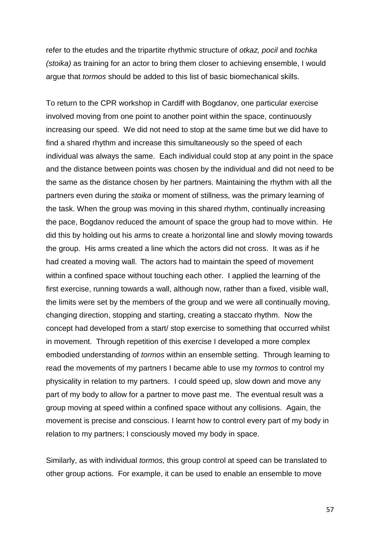refer to the etudes and the tripartite rhythmic structure of *otkaz, pocil* and *tochka (stoika)* as training for an actor to bring them closer to achieving ensemble, I would argue that *tormos* should be added to this list of basic biomechanical skills.

To return to the CPR workshop in Cardiff with Bogdanov, one particular exercise involved moving from one point to another point within the space, continuously increasing our speed. We did not need to stop at the same time but we did have to find a shared rhythm and increase this simultaneously so the speed of each individual was always the same. Each individual could stop at any point in the space and the distance between points was chosen by the individual and did not need to be the same as the distance chosen by her partners. Maintaining the rhythm with all the partners even during the *stoika* or moment of stillness, was the primary learning of the task. When the group was moving in this shared rhythm, continually increasing the pace, Bogdanov reduced the amount of space the group had to move within. He did this by holding out his arms to create a horizontal line and slowly moving towards the group. His arms created a line which the actors did not cross. It was as if he had created a moving wall. The actors had to maintain the speed of movement within a confined space without touching each other. I applied the learning of the first exercise, running towards a wall, although now, rather than a fixed, visible wall, the limits were set by the members of the group and we were all continually moving, changing direction, stopping and starting, creating a staccato rhythm. Now the concept had developed from a start/ stop exercise to something that occurred whilst in movement. Through repetition of this exercise I developed a more complex embodied understanding of *tormos* within an ensemble setting. Through learning to read the movements of my partners I became able to use my *tormos* to control my physicality in relation to my partners. I could speed up, slow down and move any part of my body to allow for a partner to move past me. The eventual result was a group moving at speed within a confined space without any collisions. Again, the movement is precise and conscious. I learnt how to control every part of my body in relation to my partners; I consciously moved my body in space.

Similarly, as with individual *tormos,* this group control at speed can be translated to other group actions. For example, it can be used to enable an ensemble to move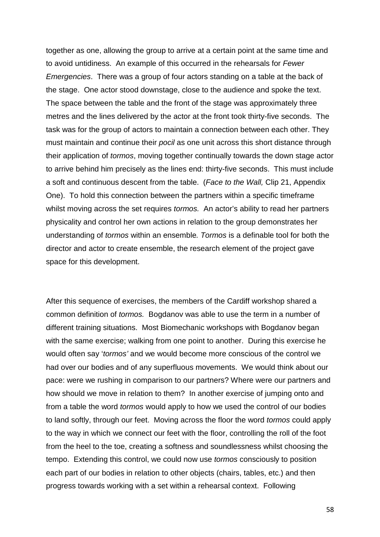together as one, allowing the group to arrive at a certain point at the same time and to avoid untidiness. An example of this occurred in the rehearsals for *Fewer Emergencies*. There was a group of four actors standing on a table at the back of the stage. One actor stood downstage, close to the audience and spoke the text. The space between the table and the front of the stage was approximately three metres and the lines delivered by the actor at the front took thirty-five seconds. The task was for the group of actors to maintain a connection between each other. They must maintain and continue their *pocil* as one unit across this short distance through their application of *tormos*, moving together continually towards the down stage actor to arrive behind him precisely as the lines end: thirty-five seconds. This must include a soft and continuous descent from the table. (*Face to the Wall,* Clip 21, Appendix One). To hold this connection between the partners within a specific timeframe whilst moving across the set requires *tormos.* An actor's ability to read her partners physicality and control her own actions in relation to the group demonstrates her understanding of *tormos* within an ensemble*. Tormos* is a definable tool for both the director and actor to create ensemble, the research element of the project gave space for this development.

After this sequence of exercises, the members of the Cardiff workshop shared a common definition of *tormos.* Bogdanov was able to use the term in a number of different training situations. Most Biomechanic workshops with Bogdanov began with the same exercise; walking from one point to another. During this exercise he would often say '*tormos'* and we would become more conscious of the control we had over our bodies and of any superfluous movements. We would think about our pace: were we rushing in comparison to our partners? Where were our partners and how should we move in relation to them? In another exercise of jumping onto and from a table the word *tormos* would apply to how we used the control of our bodies to land softly, through our feet. Moving across the floor the word *tormos* could apply to the way in which we connect our feet with the floor, controlling the roll of the foot from the heel to the toe, creating a softness and soundlessness whilst choosing the tempo. Extending this control, we could now use *tormos* consciously to position each part of our bodies in relation to other objects (chairs, tables, etc.) and then progress towards working with a set within a rehearsal context. Following

58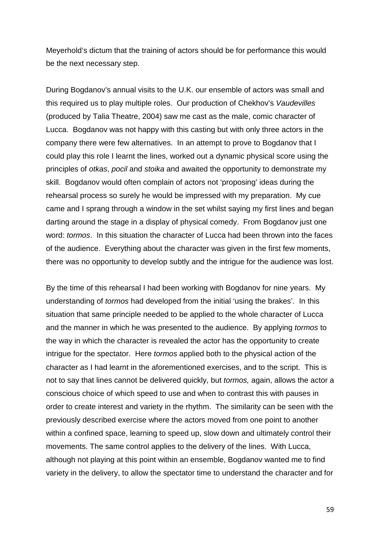Meyerhold's dictum that the training of actors should be for performance this would be the next necessary step.

During Bogdanov's annual visits to the U.K. our ensemble of actors was small and this required us to play multiple roles. Our production of Chekhov's *Vaudevilles* (produced by Talia Theatre, 2004) saw me cast as the male, comic character of Lucca. Bogdanov was not happy with this casting but with only three actors in the company there were few alternatives. In an attempt to prove to Bogdanov that I could play this role I learnt the lines, worked out a dynamic physical score using the principles of *otkas*, *pocil* and *stoika* and awaited the opportunity to demonstrate my skill. Bogdanov would often complain of actors not 'proposing' ideas during the rehearsal process so surely he would be impressed with my preparation. My cue came and I sprang through a window in the set whilst saying my first lines and began darting around the stage in a display of physical comedy. From Bogdanov just one word: *tormos*. In this situation the character of Lucca had been thrown into the faces of the audience. Everything about the character was given in the first few moments, there was no opportunity to develop subtly and the intrigue for the audience was lost.

By the time of this rehearsal I had been working with Bogdanov for nine years. My understanding of *tormos* had developed from the initial 'using the brakes'. In this situation that same principle needed to be applied to the whole character of Lucca and the manner in which he was presented to the audience. By applying *tormos* to the way in which the character is revealed the actor has the opportunity to create intrigue for the spectator. Here *tormos* applied both to the physical action of the character as I had learnt in the aforementioned exercises, and to the script. This is not to say that lines cannot be delivered quickly, but *tormos,* again, allows the actor a conscious choice of which speed to use and when to contrast this with pauses in order to create interest and variety in the rhythm. The similarity can be seen with the previously described exercise where the actors moved from one point to another within a confined space, learning to speed up, slow down and ultimately control their movements. The same control applies to the delivery of the lines. With Lucca, although not playing at this point within an ensemble, Bogdanov wanted me to find variety in the delivery, to allow the spectator time to understand the character and for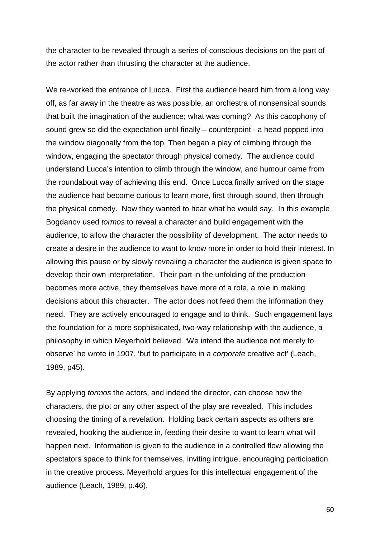the character to be revealed through a series of conscious decisions on the part of the actor rather than thrusting the character at the audience.

We re-worked the entrance of Lucca. First the audience heard him from a long way off, as far away in the theatre as was possible, an orchestra of nonsensical sounds that built the imagination of the audience; what was coming? As this cacophony of sound grew so did the expectation until finally – counterpoint - a head popped into the window diagonally from the top. Then began a play of climbing through the window, engaging the spectator through physical comedy. The audience could understand Lucca's intention to climb through the window, and humour came from the roundabout way of achieving this end. Once Lucca finally arrived on the stage the audience had become curious to learn more, first through sound, then through the physical comedy. Now they wanted to hear what he would say. In this example Bogdanov used *tormos* to reveal a character and build engagement with the audience, to allow the character the possibility of development. The actor needs to create a desire in the audience to want to know more in order to hold their interest. In allowing this pause or by slowly revealing a character the audience is given space to develop their own interpretation. Their part in the unfolding of the production becomes more active, they themselves have more of a role, a role in making decisions about this character. The actor does not feed them the information they need. They are actively encouraged to engage and to think. Such engagement lays the foundation for a more sophisticated, two-way relationship with the audience, a philosophy in which Meyerhold believed. 'We intend the audience not merely to observe' he wrote in 1907, 'but to participate in a *corporate* creative act' (Leach, 1989, p45).

By applying *tormos* the actors, and indeed the director, can choose how the characters, the plot or any other aspect of the play are revealed. This includes choosing the timing of a revelation. Holding back certain aspects as others are revealed, hooking the audience in, feeding their desire to want to learn what will happen next. Information is given to the audience in a controlled flow allowing the spectators space to think for themselves, inviting intrigue, encouraging participation in the creative process. Meyerhold argues for this intellectual engagement of the audience (Leach, 1989, p.46).

60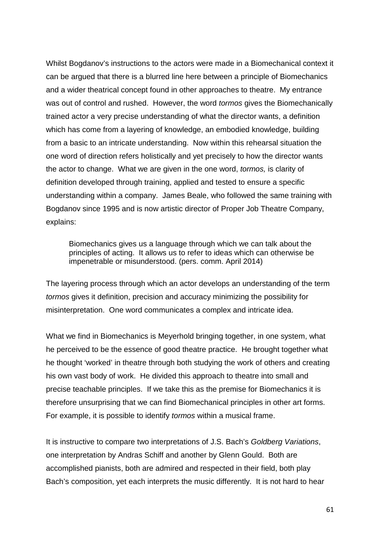Whilst Bogdanov's instructions to the actors were made in a Biomechanical context it can be argued that there is a blurred line here between a principle of Biomechanics and a wider theatrical concept found in other approaches to theatre. My entrance was out of control and rushed. However, the word *tormos* gives the Biomechanically trained actor a very precise understanding of what the director wants, a definition which has come from a layering of knowledge, an embodied knowledge, building from a basic to an intricate understanding. Now within this rehearsal situation the one word of direction refers holistically and yet precisely to how the director wants the actor to change. What we are given in the one word, *tormos,* is clarity of definition developed through training, applied and tested to ensure a specific understanding within a company. James Beale, who followed the same training with Bogdanov since 1995 and is now artistic director of Proper Job Theatre Company, explains:

Biomechanics gives us a language through which we can talk about the principles of acting. It allows us to refer to ideas which can otherwise be impenetrable or misunderstood. (pers. comm. April 2014)

The layering process through which an actor develops an understanding of the term *tormos* gives it definition, precision and accuracy minimizing the possibility for misinterpretation. One word communicates a complex and intricate idea.

What we find in Biomechanics is Meyerhold bringing together, in one system, what he perceived to be the essence of good theatre practice. He brought together what he thought 'worked' in theatre through both studying the work of others and creating his own vast body of work. He divided this approach to theatre into small and precise teachable principles. If we take this as the premise for Biomechanics it is therefore unsurprising that we can find Biomechanical principles in other art forms. For example, it is possible to identify *tormos* within a musical frame.

It is instructive to compare two interpretations of J.S. Bach's *Goldberg Variations*, one interpretation by Andras Schiff and another by Glenn Gould. Both are accomplished pianists, both are admired and respected in their field, both play Bach's composition, yet each interprets the music differently. It is not hard to hear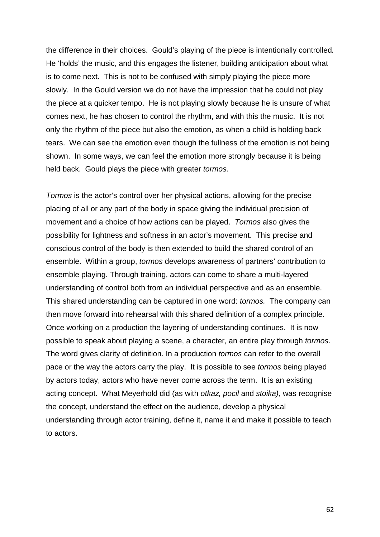the difference in their choices. Gould's playing of the piece is intentionally controlled*.*  He 'holds' the music, and this engages the listener, building anticipation about what is to come next. This is not to be confused with simply playing the piece more slowly. In the Gould version we do not have the impression that he could not play the piece at a quicker tempo. He is not playing slowly because he is unsure of what comes next, he has chosen to control the rhythm, and with this the music. It is not only the rhythm of the piece but also the emotion, as when a child is holding back tears. We can see the emotion even though the fullness of the emotion is not being shown. In some ways, we can feel the emotion more strongly because it is being held back. Gould plays the piece with greater *tormos.*

*Tormos* is the actor's control over her physical actions, allowing for the precise placing of all or any part of the body in space giving the individual precision of movement and a choice of how actions can be played. *Tormos* also gives the possibility for lightness and softness in an actor's movement. This precise and conscious control of the body is then extended to build the shared control of an ensemble. Within a group, *tormos* develops awareness of partners' contribution to ensemble playing. Through training, actors can come to share a multi-layered understanding of control both from an individual perspective and as an ensemble. This shared understanding can be captured in one word: *tormos.* The company can then move forward into rehearsal with this shared definition of a complex principle. Once working on a production the layering of understanding continues. It is now possible to speak about playing a scene, a character, an entire play through *tormos*. The word gives clarity of definition. In a production *tormos* can refer to the overall pace or the way the actors carry the play. It is possible to see *tormos* being played by actors today, actors who have never come across the term. It is an existing acting concept. What Meyerhold did (as with *otkaz, pocil* and *stoika),* was recognise the concept, understand the effect on the audience, develop a physical understanding through actor training, define it, name it and make it possible to teach to actors.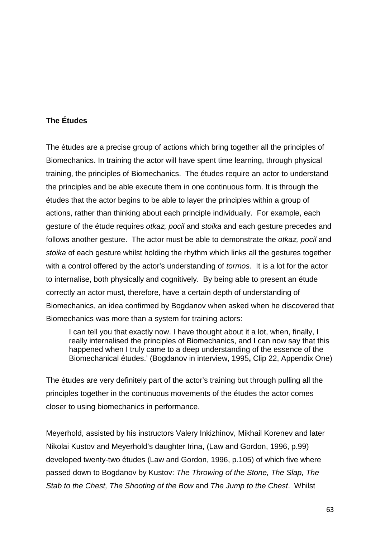# **The Études**

The études are a precise group of actions which bring together all the principles of Biomechanics. In training the actor will have spent time learning, through physical training, the principles of Biomechanics. The études require an actor to understand the principles and be able execute them in one continuous form. It is through the études that the actor begins to be able to layer the principles within a group of actions, rather than thinking about each principle individually. For example, each gesture of the étude requires *otkaz, pocil* and *stoika* and each gesture precedes and follows another gesture. The actor must be able to demonstrate the *otkaz, pocil* and *stoika* of each gesture whilst holding the rhythm which links all the gestures together with a control offered by the actor's understanding of *tormos.* It is a lot for the actor to internalise, both physically and cognitively. By being able to present an étude correctly an actor must, therefore, have a certain depth of understanding of Biomechanics, an idea confirmed by Bogdanov when asked when he discovered that Biomechanics was more than a system for training actors:

I can tell you that exactly now. I have thought about it a lot, when, finally, I really internalised the principles of Biomechanics, and I can now say that this happened when I truly came to a deep understanding of the essence of the Biomechanical études.' (Bogdanov in interview, 1995**,** Clip 22, Appendix One)

The études are very definitely part of the actor's training but through pulling all the principles together in the continuous movements of the études the actor comes closer to using biomechanics in performance.

Meyerhold, assisted by his instructors Valery Inkizhinov, Mikhail Korenev and later Nikolai Kustov and Meyerhold's daughter Irina, (Law and Gordon, 1996, p.99) developed twenty-two études (Law and Gordon, 1996, p.105) of which five where passed down to Bogdanov by Kustov: *The Throwing of the Stone, The Slap, The Stab to the Chest, The Shooting of the Bow* and *The Jump to the Chest*. Whilst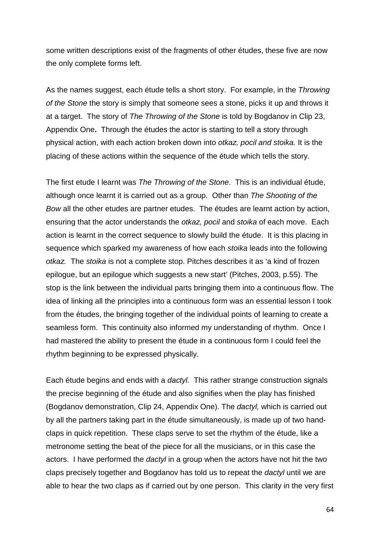some written descriptions exist of the fragments of other études, these five are now the only complete forms left.

As the names suggest, each étude tells a short story. For example, in the *Throwing of the Stone* the story is simply that someone sees a stone, picks it up and throws it at a target. The story of *The Throwing of the Stone* is told by Bogdanov in Clip 23, Appendix One**.** Through the études the actor is starting to tell a story through physical action, with each action broken down into *otkaz, pocil and stoika.* It is the placing of these actions within the sequence of the étude which tells the story.

The first etude I learnt was *The Throwing of the Stone*. This is an individual étude, although once learnt it is carried out as a group. Other than *The Shooting of the Bow* all the other etudes are partner etudes. The études are learnt action by action, ensuring that the actor understands the *otkaz, pocil* and *stoika* of each move. Each action is learnt in the correct sequence to slowly build the étude. It is this placing in sequence which sparked my awareness of how each *stoika* leads into the following *otkaz.* The *stoika* is not a complete stop. Pitches describes it as 'a kind of frozen epilogue, but an epilogue which suggests a new start' (Pitches, 2003, p.55). The stop is the link between the individual parts bringing them into a continuous flow. The idea of linking all the principles into a continuous form was an essential lesson I took from the études, the bringing together of the individual points of learning to create a seamless form. This continuity also informed my understanding of rhythm. Once I had mastered the ability to present the étude in a continuous form I could feel the rhythm beginning to be expressed physically.

Each étude begins and ends with a *dactyl.* This rather strange construction signals the precise beginning of the étude and also signifies when the play has finished (Bogdanov demonstration, Clip 24, Appendix One). The *dactyl,* which is carried out by all the partners taking part in the étude simultaneously, is made up of two handclaps in quick repetition. These claps serve to set the rhythm of the étude, like a metronome setting the beat of the piece for all the musicians, or in this case the actors. I have performed the *dactyl* in a group when the actors have not hit the two claps precisely together and Bogdanov has told us to repeat the *dactyl* until we are able to hear the two claps as if carried out by one person. This clarity in the very first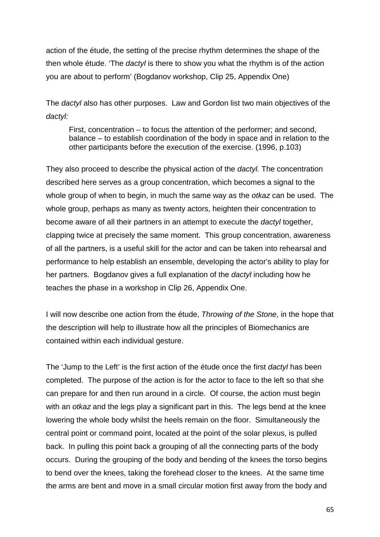action of the étude, the setting of the precise rhythm determines the shape of the then whole étude. 'The *dactyl* is there to show you what the rhythm is of the action you are about to perform' (Bogdanov workshop, Clip 25, Appendix One)

The *dactyl* also has other purposes. Law and Gordon list two main objectives of the *dactyl:*

First, concentration – to focus the attention of the performer; and second, balance – to establish coordination of the body in space and in relation to the other participants before the execution of the exercise. (1996, p.103)

They also proceed to describe the physical action of the *dactyl.* The concentration described here serves as a group concentration, which becomes a signal to the whole group of when to begin, in much the same way as the *otkaz* can be used. The whole group, perhaps as many as twenty actors, heighten their concentration to become aware of all their partners in an attempt to execute the *dactyl* together, clapping twice at precisely the same moment. This group concentration, awareness of all the partners, is a useful skill for the actor and can be taken into rehearsal and performance to help establish an ensemble, developing the actor's ability to play for her partners. Bogdanov gives a full explanation of the *dactyl* including how he teaches the phase in a workshop in Clip 26, Appendix One.

I will now describe one action from the étude, *Throwing of the Stone,* in the hope that the description will help to illustrate how all the principles of Biomechanics are contained within each individual gesture.

The 'Jump to the Left' is the first action of the étude once the first *dactyl* has been completed. The purpose of the action is for the actor to face to the left so that she can prepare for and then run around in a circle. Of course, the action must begin with an *otkaz* and the legs play a significant part in this. The legs bend at the knee lowering the whole body whilst the heels remain on the floor. Simultaneously the central point or command point, located at the point of the solar plexus, is pulled back. In pulling this point back a grouping of all the connecting parts of the body occurs. During the grouping of the body and bending of the knees the torso begins to bend over the knees, taking the forehead closer to the knees. At the same time the arms are bent and move in a small circular motion first away from the body and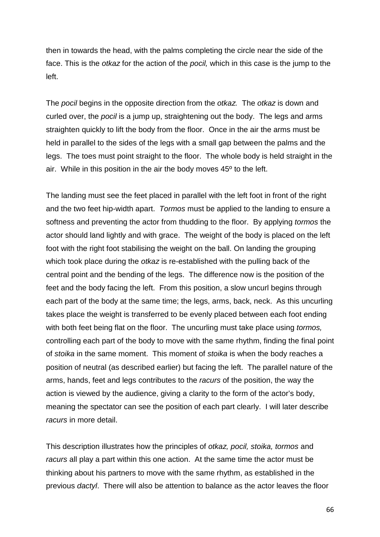then in towards the head, with the palms completing the circle near the side of the face. This is the *otkaz* for the action of the *pocil,* which in this case is the jump to the left.

The *pocil* begins in the opposite direction from the *otkaz.* The *otkaz* is down and curled over, the *pocil* is a jump up, straightening out the body. The legs and arms straighten quickly to lift the body from the floor. Once in the air the arms must be held in parallel to the sides of the legs with a small gap between the palms and the legs. The toes must point straight to the floor. The whole body is held straight in the air. While in this position in the air the body moves 45º to the left.

The landing must see the feet placed in parallel with the left foot in front of the right and the two feet hip-width apart. *Tormos* must be applied to the landing to ensure a softness and preventing the actor from thudding to the floor. By applying *tormos* the actor should land lightly and with grace. The weight of the body is placed on the left foot with the right foot stabilising the weight on the ball. On landing the grouping which took place during the *otkaz* is re-established with the pulling back of the central point and the bending of the legs. The difference now is the position of the feet and the body facing the left. From this position, a slow uncurl begins through each part of the body at the same time; the legs, arms, back, neck. As this uncurling takes place the weight is transferred to be evenly placed between each foot ending with both feet being flat on the floor. The uncurling must take place using *tormos,*  controlling each part of the body to move with the same rhythm, finding the final point of *stoika* in the same moment. This moment of *stoika* is when the body reaches a position of neutral (as described earlier) but facing the left. The parallel nature of the arms, hands, feet and legs contributes to the *racurs* of the position, the way the action is viewed by the audience, giving a clarity to the form of the actor's body, meaning the spectator can see the position of each part clearly. I will later describe *racurs* in more detail.

This description illustrates how the principles of *otkaz, pocil, stoika, tormos* and *racurs* all play a part within this one action. At the same time the actor must be thinking about his partners to move with the same rhythm, as established in the previous *dactyl*. There will also be attention to balance as the actor leaves the floor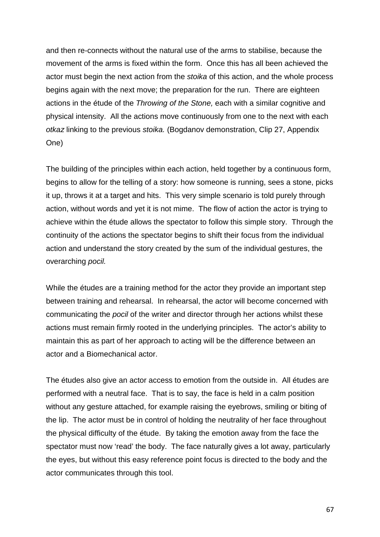and then re-connects without the natural use of the arms to stabilise, because the movement of the arms is fixed within the form. Once this has all been achieved the actor must begin the next action from the *stoika* of this action, and the whole process begins again with the next move; the preparation for the run. There are eighteen actions in the étude of the *Throwing of the Stone,* each with a similar cognitive and physical intensity. All the actions move continuously from one to the next with each *otkaz* linking to the previous *stoika.* (Bogdanov demonstration, Clip 27, Appendix One)

The building of the principles within each action, held together by a continuous form, begins to allow for the telling of a story: how someone is running, sees a stone, picks it up, throws it at a target and hits. This very simple scenario is told purely through action, without words and yet it is not mime. The flow of action the actor is trying to achieve within the étude allows the spectator to follow this simple story. Through the continuity of the actions the spectator begins to shift their focus from the individual action and understand the story created by the sum of the individual gestures, the overarching *pocil.*

While the études are a training method for the actor they provide an important step between training and rehearsal. In rehearsal, the actor will become concerned with communicating the *pocil* of the writer and director through her actions whilst these actions must remain firmly rooted in the underlying principles. The actor's ability to maintain this as part of her approach to acting will be the difference between an actor and a Biomechanical actor.

The études also give an actor access to emotion from the outside in. All études are performed with a neutral face. That is to say, the face is held in a calm position without any gesture attached, for example raising the eyebrows, smiling or biting of the lip. The actor must be in control of holding the neutrality of her face throughout the physical difficulty of the étude. By taking the emotion away from the face the spectator must now 'read' the body. The face naturally gives a lot away, particularly the eyes, but without this easy reference point focus is directed to the body and the actor communicates through this tool.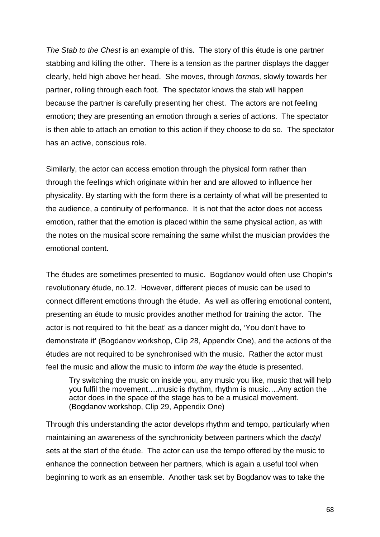*The Stab to the Chest* is an example of this. The story of this étude is one partner stabbing and killing the other. There is a tension as the partner displays the dagger clearly, held high above her head. She moves, through *tormos,* slowly towards her partner, rolling through each foot. The spectator knows the stab will happen because the partner is carefully presenting her chest. The actors are not feeling emotion; they are presenting an emotion through a series of actions. The spectator is then able to attach an emotion to this action if they choose to do so. The spectator has an active, conscious role.

Similarly, the actor can access emotion through the physical form rather than through the feelings which originate within her and are allowed to influence her physicality. By starting with the form there is a certainty of what will be presented to the audience, a continuity of performance. It is not that the actor does not access emotion, rather that the emotion is placed within the same physical action, as with the notes on the musical score remaining the same whilst the musician provides the emotional content.

The études are sometimes presented to music. Bogdanov would often use Chopin's revolutionary étude, no.12. However, different pieces of music can be used to connect different emotions through the étude. As well as offering emotional content, presenting an étude to music provides another method for training the actor. The actor is not required to 'hit the beat' as a dancer might do, 'You don't have to demonstrate it' (Bogdanov workshop, Clip 28, Appendix One), and the actions of the études are not required to be synchronised with the music. Rather the actor must feel the music and allow the music to inform *the way* the étude is presented.

Try switching the music on inside you, any music you like, music that will help you fulfil the movement….music is rhythm, rhythm is music….Any action the actor does in the space of the stage has to be a musical movement. (Bogdanov workshop, Clip 29, Appendix One)

Through this understanding the actor develops rhythm and tempo, particularly when maintaining an awareness of the synchronicity between partners which the *dactyl*  sets at the start of the étude. The actor can use the tempo offered by the music to enhance the connection between her partners, which is again a useful tool when beginning to work as an ensemble. Another task set by Bogdanov was to take the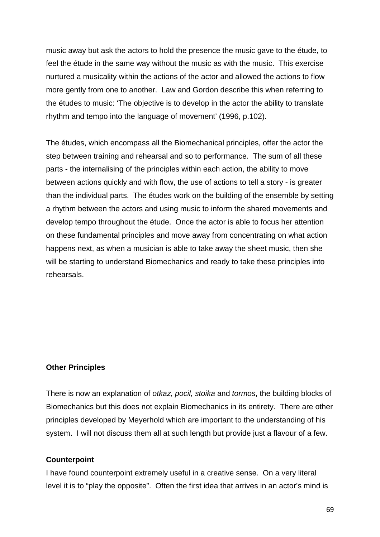music away but ask the actors to hold the presence the music gave to the étude, to feel the étude in the same way without the music as with the music. This exercise nurtured a musicality within the actions of the actor and allowed the actions to flow more gently from one to another. Law and Gordon describe this when referring to the études to music: 'The objective is to develop in the actor the ability to translate rhythm and tempo into the language of movement' (1996, p.102).

The études, which encompass all the Biomechanical principles, offer the actor the step between training and rehearsal and so to performance. The sum of all these parts - the internalising of the principles within each action, the ability to move between actions quickly and with flow, the use of actions to tell a story - is greater than the individual parts. The études work on the building of the ensemble by setting a rhythm between the actors and using music to inform the shared movements and develop tempo throughout the étude. Once the actor is able to focus her attention on these fundamental principles and move away from concentrating on what action happens next, as when a musician is able to take away the sheet music, then she will be starting to understand Biomechanics and ready to take these principles into rehearsals.

### **Other Principles**

There is now an explanation of *otkaz, pocil, stoika* and *tormos*, the building blocks of Biomechanics but this does not explain Biomechanics in its entirety. There are other principles developed by Meyerhold which are important to the understanding of his system. I will not discuss them all at such length but provide just a flavour of a few.

### **Counterpoint**

I have found counterpoint extremely useful in a creative sense. On a very literal level it is to "play the opposite". Often the first idea that arrives in an actor's mind is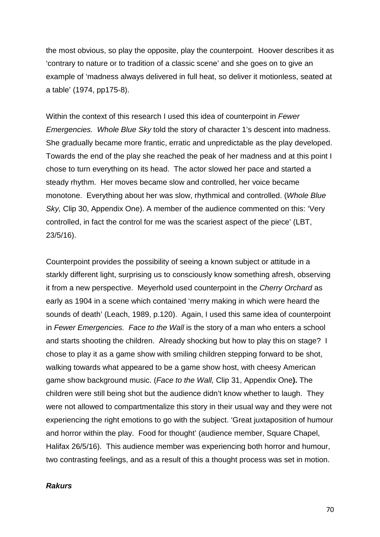the most obvious, so play the opposite, play the counterpoint. Hoover describes it as 'contrary to nature or to tradition of a classic scene' and she goes on to give an example of 'madness always delivered in full heat, so deliver it motionless, seated at a table' (1974, pp175-8).

Within the context of this research I used this idea of counterpoint in *Fewer Emergencies. Whole Blue Sky* told the story of character 1's descent into madness. She gradually became more frantic, erratic and unpredictable as the play developed. Towards the end of the play she reached the peak of her madness and at this point I chose to turn everything on its head. The actor slowed her pace and started a steady rhythm. Her moves became slow and controlled, her voice became monotone. Everything about her was slow, rhythmical and controlled. (*Whole Blue Sky,* Clip 30, Appendix One). A member of the audience commented on this: 'Very controlled, in fact the control for me was the scariest aspect of the piece' (LBT, 23/5/16).

Counterpoint provides the possibility of seeing a known subject or attitude in a starkly different light, surprising us to consciously know something afresh, observing it from a new perspective. Meyerhold used counterpoint in the *Cherry Orchard* as early as 1904 in a scene which contained 'merry making in which were heard the sounds of death' (Leach, 1989, p.120). Again, I used this same idea of counterpoint in *Fewer Emergencies. Face to the Wall* is the story of a man who enters a school and starts shooting the children. Already shocking but how to play this on stage? I chose to play it as a game show with smiling children stepping forward to be shot, walking towards what appeared to be a game show host, with cheesy American game show background music. (*Face to the Wall,* Clip 31, Appendix One**).** The children were still being shot but the audience didn't know whether to laugh. They were not allowed to compartmentalize this story in their usual way and they were not experiencing the right emotions to go with the subject. 'Great juxtaposition of humour and horror within the play. Food for thought' (audience member, Square Chapel, Halifax 26/5/16). This audience member was experiencing both horror and humour, two contrasting feelings, and as a result of this a thought process was set in motion.

### *Rakurs*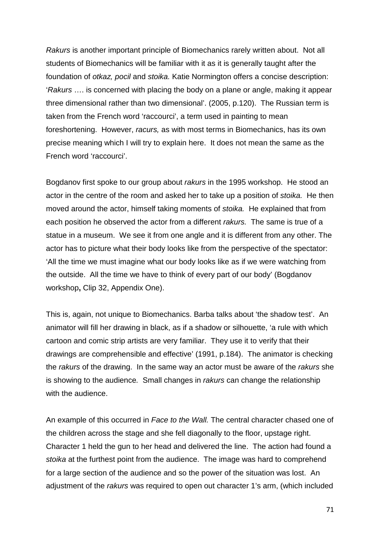*Rakurs* is another important principle of Biomechanics rarely written about. Not all students of Biomechanics will be familiar with it as it is generally taught after the foundation of *otkaz, pocil* and *stoika.* Katie Normington offers a concise description: '*Rakurs* …. is concerned with placing the body on a plane or angle, making it appear three dimensional rather than two dimensional'. (2005, p.120). The Russian term is taken from the French word 'raccourci', a term used in painting to mean foreshortening. However, *racurs,* as with most terms in Biomechanics, has its own precise meaning which I will try to explain here. It does not mean the same as the French word 'raccourci'.

Bogdanov first spoke to our group about *rakurs* in the 1995 workshop. He stood an actor in the centre of the room and asked her to take up a position of *stoika.* He then moved around the actor, himself taking moments of *stoika.* He explained that from each position he observed the actor from a different *rakurs.* The same is true of a statue in a museum. We see it from one angle and it is different from any other. The actor has to picture what their body looks like from the perspective of the spectator: 'All the time we must imagine what our body looks like as if we were watching from the outside. All the time we have to think of every part of our body' (Bogdanov workshop**,** Clip 32, Appendix One).

This is, again, not unique to Biomechanics. Barba talks about 'the shadow test'. An animator will fill her drawing in black, as if a shadow or silhouette, 'a rule with which cartoon and comic strip artists are very familiar. They use it to verify that their drawings are comprehensible and effective' (1991, p.184). The animator is checking the *rakurs* of the drawing. In the same way an actor must be aware of the *rakurs* she is showing to the audience*.* Small changes in *rakurs* can change the relationship with the audience.

An example of this occurred in *Face to the Wall.* The central character chased one of the children across the stage and she fell diagonally to the floor, upstage right. Character 1 held the gun to her head and delivered the line. The action had found a *stoika* at the furthest point from the audience. The image was hard to comprehend for a large section of the audience and so the power of the situation was lost. An adjustment of the *rakurs* was required to open out character 1's arm, (which included

71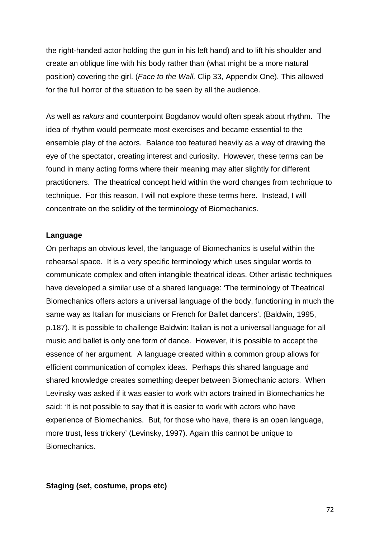the right-handed actor holding the gun in his left hand) and to lift his shoulder and create an oblique line with his body rather than (what might be a more natural position) covering the girl. (*Face to the Wall,* Clip 33, Appendix One). This allowed for the full horror of the situation to be seen by all the audience.

As well as *rakurs* and counterpoint Bogdanov would often speak about rhythm. The idea of rhythm would permeate most exercises and became essential to the ensemble play of the actors. Balance too featured heavily as a way of drawing the eye of the spectator, creating interest and curiosity. However, these terms can be found in many acting forms where their meaning may alter slightly for different practitioners. The theatrical concept held within the word changes from technique to technique. For this reason, I will not explore these terms here. Instead, I will concentrate on the solidity of the terminology of Biomechanics.

## **Language**

On perhaps an obvious level, the language of Biomechanics is useful within the rehearsal space. It is a very specific terminology which uses singular words to communicate complex and often intangible theatrical ideas. Other artistic techniques have developed a similar use of a shared language: 'The terminology of Theatrical Biomechanics offers actors a universal language of the body, functioning in much the same way as Italian for musicians or French for Ballet dancers'. (Baldwin, 1995, p.187). It is possible to challenge Baldwin: Italian is not a universal language for all music and ballet is only one form of dance. However, it is possible to accept the essence of her argument. A language created within a common group allows for efficient communication of complex ideas. Perhaps this shared language and shared knowledge creates something deeper between Biomechanic actors. When Levinsky was asked if it was easier to work with actors trained in Biomechanics he said: 'It is not possible to say that it is easier to work with actors who have experience of Biomechanics. But, for those who have, there is an open language, more trust, less trickery' (Levinsky, 1997). Again this cannot be unique to Biomechanics.

#### **Staging (set, costume, props etc)**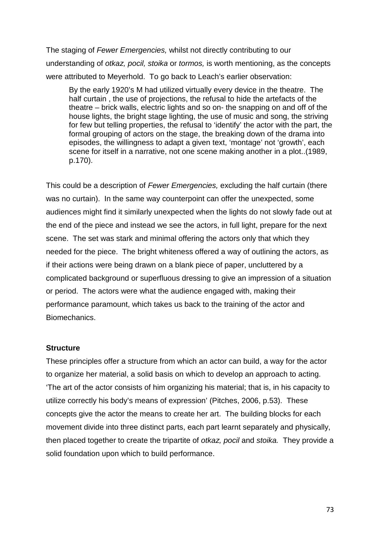The staging of *Fewer Emergencies,* whilst not directly contributing to our understanding of *otkaz, pocil, stoika* or *tormos,* is worth mentioning, as the concepts were attributed to Meyerhold. To go back to Leach's earlier observation:

By the early 1920's M had utilized virtually every device in the theatre. The half curtain , the use of projections, the refusal to hide the artefacts of the theatre – brick walls, electric lights and so on- the snapping on and off of the house lights, the bright stage lighting, the use of music and song, the striving for few but telling properties, the refusal to 'identify' the actor with the part, the formal grouping of actors on the stage, the breaking down of the drama into episodes, the willingness to adapt a given text, 'montage' not 'growth', each scene for itself in a narrative, not one scene making another in a plot..(1989, p.170).

This could be a description of *Fewer Emergencies,* excluding the half curtain (there was no curtain). In the same way counterpoint can offer the unexpected, some audiences might find it similarly unexpected when the lights do not slowly fade out at the end of the piece and instead we see the actors, in full light, prepare for the next scene. The set was stark and minimal offering the actors only that which they needed for the piece. The bright whiteness offered a way of outlining the actors, as if their actions were being drawn on a blank piece of paper, uncluttered by a complicated background or superfluous dressing to give an impression of a situation or period. The actors were what the audience engaged with, making their performance paramount, which takes us back to the training of the actor and Biomechanics.

## **Structure**

These principles offer a structure from which an actor can build, a way for the actor to organize her material, a solid basis on which to develop an approach to acting. 'The art of the actor consists of him organizing his material; that is, in his capacity to utilize correctly his body's means of expression' (Pitches, 2006, p.53). These concepts give the actor the means to create her art. The building blocks for each movement divide into three distinct parts, each part learnt separately and physically, then placed together to create the tripartite of *otkaz, pocil* and *stoika.* They provide a solid foundation upon which to build performance.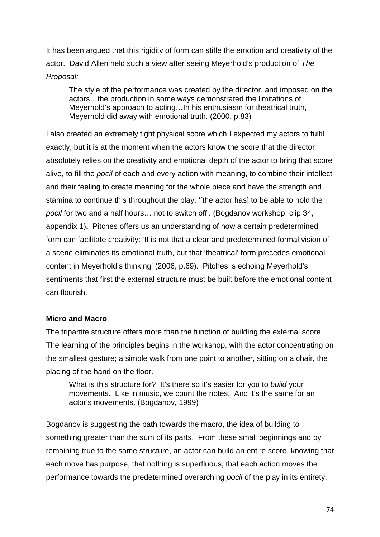It has been argued that this rigidity of form can stifle the emotion and creativity of the actor. David Allen held such a view after seeing Meyerhold's production of *The Proposal:*

The style of the performance was created by the director, and imposed on the actors…the production in some ways demonstrated the limitations of Meyerhold's approach to acting…In his enthusiasm for theatrical truth, Meyerhold did away with emotional truth. (2000, p.83)

I also created an extremely tight physical score which I expected my actors to fulfil exactly, but it is at the moment when the actors know the score that the director absolutely relies on the creativity and emotional depth of the actor to bring that score alive, to fill the *pocil* of each and every action with meaning, to combine their intellect and their feeling to create meaning for the whole piece and have the strength and stamina to continue this throughout the play: '[the actor has] to be able to hold the *pocil* for two and a half hours… not to switch off'. (Bogdanov workshop, clip 34, appendix 1)**.** Pitches offers us an understanding of how a certain predetermined form can facilitate creativity: 'It is not that a clear and predetermined formal vision of a scene eliminates its emotional truth, but that 'theatrical' form precedes emotional content in Meyerhold's thinking' (2006, p.69). Pitches is echoing Meyerhold's sentiments that first the external structure must be built before the emotional content can flourish.

# **Micro and Macro**

The tripartite structure offers more than the function of building the external score. The learning of the principles begins in the workshop, with the actor concentrating on the smallest gesture; a simple walk from one point to another, sitting on a chair, the placing of the hand on the floor.

What is this structure for? It's there so it's easier for you to *build* your movements. Like in music, we count the notes. And it's the same for an actor's movements. (Bogdanov, 1999)

Bogdanov is suggesting the path towards the macro, the idea of building to something greater than the sum of its parts. From these small beginnings and by remaining true to the same structure, an actor can build an entire score, knowing that each move has purpose, that nothing is superfluous, that each action moves the performance towards the predetermined overarching *pocil* of the play in its entirety.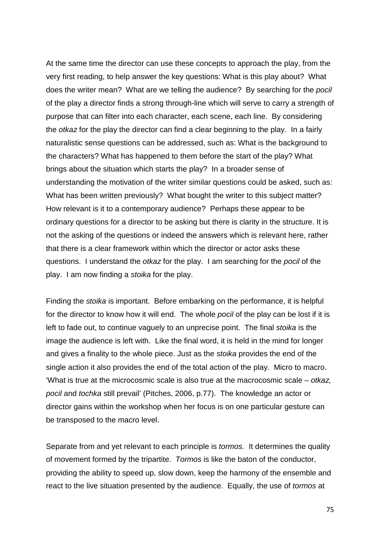At the same time the director can use these concepts to approach the play, from the very first reading, to help answer the key questions: What is this play about? What does the writer mean? What are we telling the audience? By searching for the *pocil*  of the play a director finds a strong through-line which will serve to carry a strength of purpose that can filter into each character, each scene, each line. By considering the *otkaz* for the play the director can find a clear beginning to the play. In a fairly naturalistic sense questions can be addressed, such as: What is the background to the characters? What has happened to them before the start of the play? What brings about the situation which starts the play? In a broader sense of understanding the motivation of the writer similar questions could be asked, such as: What has been written previously? What bought the writer to this subject matter? How relevant is it to a contemporary audience? Perhaps these appear to be ordinary questions for a director to be asking but there is clarity in the structure. It is not the asking of the questions or indeed the answers which is relevant here, rather that there is a clear framework within which the director or actor asks these questions. I understand the *otkaz* for the play. I am searching for the *pocil* of the play. I am now finding a *stoika* for the play.

Finding the *stoika* is important. Before embarking on the performance, it is helpful for the director to know how it will end. The whole *pocil* of the play can be lost if it is left to fade out, to continue vaguely to an unprecise point. The final *stoika* is the image the audience is left with. Like the final word, it is held in the mind for longer and gives a finality to the whole piece. Just as the *stoika* provides the end of the single action it also provides the end of the total action of the play. Micro to macro. 'What is true at the microcosmic scale is also true at the macrocosmic scale – *otkaz, pocil* and *tochka* still prevail' (Pitches, 2006, p.77). The knowledge an actor or director gains within the workshop when her focus is on one particular gesture can be transposed to the macro level.

Separate from and yet relevant to each principle is *tormos.* It determines the quality of movement formed by the tripartite. *Tormos* is like the baton of the conductor, providing the ability to speed up, slow down, keep the harmony of the ensemble and react to the live situation presented by the audience. Equally, the use of *tormos* at

75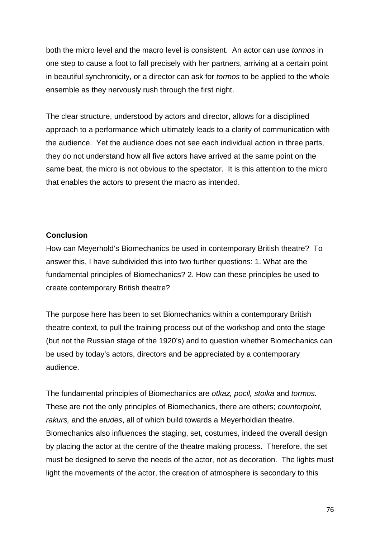both the micro level and the macro level is consistent. An actor can use *tormos* in one step to cause a foot to fall precisely with her partners, arriving at a certain point in beautiful synchronicity, or a director can ask for *tormos* to be applied to the whole ensemble as they nervously rush through the first night.

The clear structure, understood by actors and director, allows for a disciplined approach to a performance which ultimately leads to a clarity of communication with the audience. Yet the audience does not see each individual action in three parts, they do not understand how all five actors have arrived at the same point on the same beat, the micro is not obvious to the spectator. It is this attention to the micro that enables the actors to present the macro as intended.

# **Conclusion**

How can Meyerhold's Biomechanics be used in contemporary British theatre? To answer this, I have subdivided this into two further questions: 1. What are the fundamental principles of Biomechanics? 2. How can these principles be used to create contemporary British theatre?

The purpose here has been to set Biomechanics within a contemporary British theatre context, to pull the training process out of the workshop and onto the stage (but not the Russian stage of the 1920's) and to question whether Biomechanics can be used by today's actors, directors and be appreciated by a contemporary audience.

The fundamental principles of Biomechanics are *otkaz, pocil, stoika* and *tormos.*  These are not the only principles of Biomechanics, there are others; *counterpoint, rakurs,* and the *etudes*, all of which build towards a Meyerholdian theatre. Biomechanics also influences the staging, set, costumes, indeed the overall design by placing the actor at the centre of the theatre making process. Therefore, the set must be designed to serve the needs of the actor, not as decoration. The lights must light the movements of the actor, the creation of atmosphere is secondary to this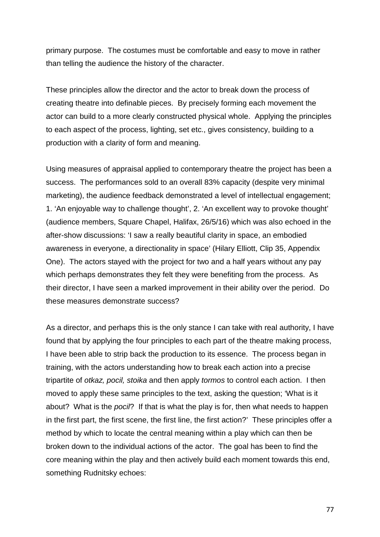primary purpose. The costumes must be comfortable and easy to move in rather than telling the audience the history of the character.

These principles allow the director and the actor to break down the process of creating theatre into definable pieces. By precisely forming each movement the actor can build to a more clearly constructed physical whole. Applying the principles to each aspect of the process, lighting, set etc., gives consistency, building to a production with a clarity of form and meaning.

Using measures of appraisal applied to contemporary theatre the project has been a success. The performances sold to an overall 83% capacity (despite very minimal marketing), the audience feedback demonstrated a level of intellectual engagement; 1. 'An enjoyable way to challenge thought', 2. 'An excellent way to provoke thought' (audience members, Square Chapel, Halifax, 26/5/16) which was also echoed in the after-show discussions: 'I saw a really beautiful clarity in space, an embodied awareness in everyone, a directionality in space' (Hilary Elliott, Clip 35, Appendix One). The actors stayed with the project for two and a half years without any pay which perhaps demonstrates they felt they were benefiting from the process. As their director, I have seen a marked improvement in their ability over the period. Do these measures demonstrate success?

As a director, and perhaps this is the only stance I can take with real authority, I have found that by applying the four principles to each part of the theatre making process, I have been able to strip back the production to its essence. The process began in training, with the actors understanding how to break each action into a precise tripartite of *otkaz, pocil, stoika* and then apply *tormos* to control each action. I then moved to apply these same principles to the text, asking the question; 'What is it about? What is the *pocil*? If that is what the play is for, then what needs to happen in the first part, the first scene, the first line, the first action?' These principles offer a method by which to locate the central meaning within a play which can then be broken down to the individual actions of the actor. The goal has been to find the core meaning within the play and then actively build each moment towards this end, something Rudnitsky echoes: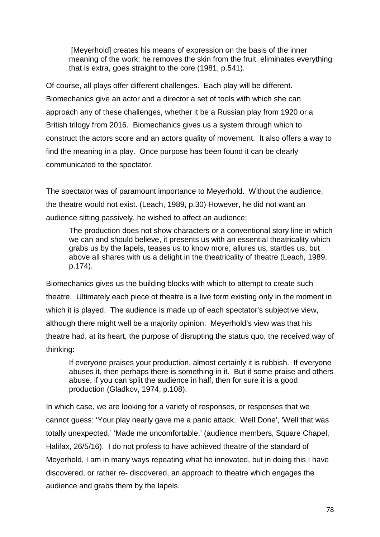[Meyerhold] creates his means of expression on the basis of the inner meaning of the work; he removes the skin from the fruit, eliminates everything that is extra, goes straight to the core (1981, p.541).

Of course, all plays offer different challenges. Each play will be different. Biomechanics give an actor and a director a set of tools with which she can approach any of these challenges, whether it be a Russian play from 1920 or a British trilogy from 2016. Biomechanics gives us a system through which to construct the actors score and an actors quality of movement. It also offers a way to find the meaning in a play. Once purpose has been found it can be clearly communicated to the spectator.

The spectator was of paramount importance to Meyerhold. Without the audience, the theatre would not exist. (Leach, 1989, p.30) However, he did not want an audience sitting passively, he wished to affect an audience:

The production does not show characters or a conventional story line in which we can and should believe, it presents us with an essential theatricality which grabs us by the lapels, teases us to know more, allures us, startles us, but above all shares with us a delight in the theatricality of theatre (Leach, 1989, p.174).

Biomechanics gives us the building blocks with which to attempt to create such theatre. Ultimately each piece of theatre is a live form existing only in the moment in which it is played. The audience is made up of each spectator's subjective view, although there might well be a majority opinion. Meyerhold's view was that his theatre had, at its heart, the purpose of disrupting the status quo, the received way of thinking:

If everyone praises your production, almost certainly it is rubbish. If everyone abuses it, then perhaps there is something in it. But if some praise and others abuse, if you can split the audience in half, then for sure it is a good production (Gladkov, 1974, p.108).

In which case, we are looking for a variety of responses, or responses that we cannot guess: 'Your play nearly gave me a panic attack. Well Done', 'Well that was totally unexpected,' 'Made me uncomfortable.' (audience members, Square Chapel, Halifax, 26/5/16). I do not profess to have achieved theatre of the standard of Meyerhold, I am in many ways repeating what he innovated, but in doing this I have discovered, or rather re- discovered, an approach to theatre which engages the audience and grabs them by the lapels.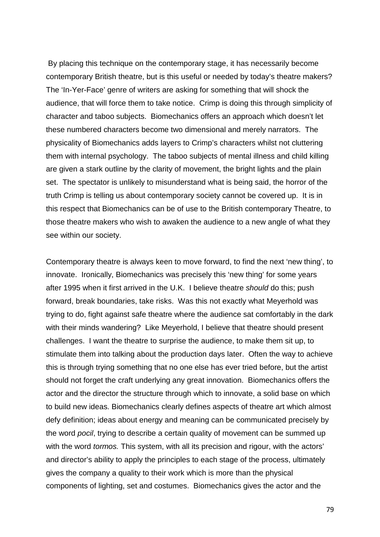By placing this technique on the contemporary stage, it has necessarily become contemporary British theatre, but is this useful or needed by today's theatre makers? The 'In-Yer-Face' genre of writers are asking for something that will shock the audience, that will force them to take notice. Crimp is doing this through simplicity of character and taboo subjects. Biomechanics offers an approach which doesn't let these numbered characters become two dimensional and merely narrators. The physicality of Biomechanics adds layers to Crimp's characters whilst not cluttering them with internal psychology. The taboo subjects of mental illness and child killing are given a stark outline by the clarity of movement, the bright lights and the plain set. The spectator is unlikely to misunderstand what is being said, the horror of the truth Crimp is telling us about contemporary society cannot be covered up. It is in this respect that Biomechanics can be of use to the British contemporary Theatre, to those theatre makers who wish to awaken the audience to a new angle of what they see within our society.

Contemporary theatre is always keen to move forward, to find the next 'new thing', to innovate. Ironically, Biomechanics was precisely this 'new thing' for some years after 1995 when it first arrived in the U.K. I believe theatre *should* do this; push forward, break boundaries, take risks. Was this not exactly what Meyerhold was trying to do, fight against safe theatre where the audience sat comfortably in the dark with their minds wandering? Like Meyerhold, I believe that theatre should present challenges. I want the theatre to surprise the audience, to make them sit up, to stimulate them into talking about the production days later. Often the way to achieve this is through trying something that no one else has ever tried before, but the artist should not forget the craft underlying any great innovation. Biomechanics offers the actor and the director the structure through which to innovate, a solid base on which to build new ideas. Biomechanics clearly defines aspects of theatre art which almost defy definition; ideas about energy and meaning can be communicated precisely by the word *pocil*, trying to describe a certain quality of movement can be summed up with the word *tormos.* This system, with all its precision and rigour, with the actors' and director's ability to apply the principles to each stage of the process, ultimately gives the company a quality to their work which is more than the physical components of lighting, set and costumes. Biomechanics gives the actor and the

79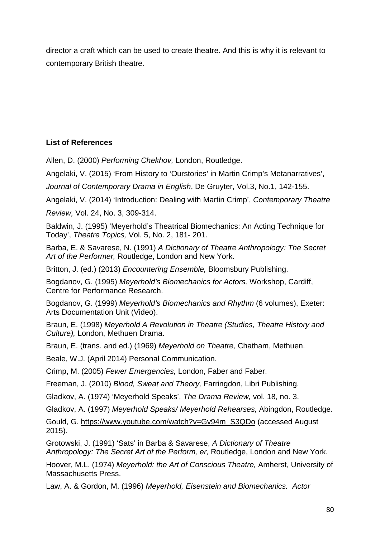director a craft which can be used to create theatre. And this is why it is relevant to contemporary British theatre.

# **List of References**

Allen, D. (2000) *Performing Chekhov,* London, Routledge.

Angelaki, V. (2015) 'From History to 'Ourstories' in Martin Crimp's Metanarratives',

*Journal of Contemporary Drama in English*, De Gruyter, Vol.3, No.1, 142-155.

Angelaki, V. (2014) 'Introduction: Dealing with Martin Crimp', *Contemporary Theatre* 

*Review,* Vol. 24, No. 3, 309-314.

Baldwin, J. (1995) 'Meyerhold's Theatrical Biomechanics: An Acting Technique for Today', *Theatre Topics,* Vol. 5, No. 2, 181- 201.

Barba, E. & Savarese, N. (1991) *A Dictionary of Theatre Anthropology: The Secret Art of the Performer,* Routledge, London and New York.

Britton, J. (ed.) (2013) *Encountering Ensemble,* Bloomsbury Publishing.

Bogdanov, G. (1995) *Meyerhold's Biomechanics for Actors,* Workshop, Cardiff, Centre for Performance Research.

Bogdanov, G. (1999) *Meyerhold's Biomechanics and Rhythm* (6 volumes), Exeter: Arts Documentation Unit (Video).

Braun, E. (1998) *Meyerhold A Revolution in Theatre (Studies, Theatre History and Culture),* London, Methuen Drama.

Braun, E. (trans. and ed.) (1969) *Meyerhold on Theatre,* Chatham, Methuen.

Beale, W.J. (April 2014) Personal Communication.

Crimp, M. (2005) *Fewer Emergencies,* London, Faber and Faber.

Freeman, J. (2010) *Blood, Sweat and Theory,* Farringdon, Libri Publishing.

Gladkov, A. (1974) 'Meyerhold Speaks', *The Drama Review,* vol. 18, no. 3.

Gladkov, A. (1997) *Meyerhold Speaks/ Meyerhold Rehearses,* Abingdon, Routledge.

Gould, G. [https://www.youtube.com/watch?v=Gv94m\\_S3QDo](https://www.youtube.com/watch?v=Gv94m_S3QDo) (accessed August 2015).

Grotowski, J. (1991) 'Sats' in Barba & Savarese, *A Dictionary of Theatre Anthropology: The Secret Art of the Perform, er,* Routledge, London and New York.

Hoover, M.L. (1974) *Meyerhold: the Art of Conscious Theatre,* Amherst, University of Massachusetts Press.

Law, A. & Gordon, M. (1996) *Meyerhold, Eisenstein and Biomechanics. Actor*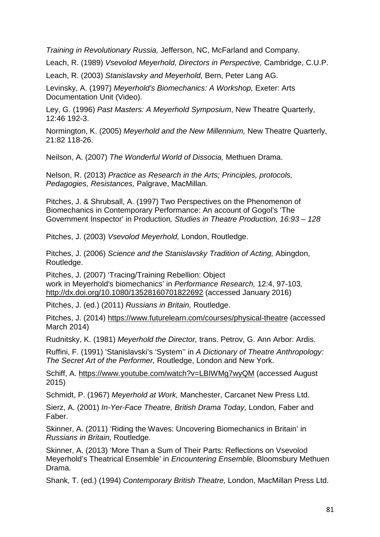*Training in Revolutionary Russia,* Jefferson, NC, McFarland and Company.

Leach, R. (1989) *Vsevolod Meyerhold, Directors in Perspective,* Cambridge, C.U.P.

Leach, R. (2003) *Stanislavsky and Meyerhold,* Bern, Peter Lang AG.

Levinsky, A. (1997) *Meyerhold's Biomechanics: A Workshop,* Exeter: Arts Documentation Unit (Video).

Ley, G. (1996) *Past Masters: A Meyerhold Symposium*, New Theatre Quarterly, 12:46 192-3.

Normington, K. (2005) *Meyerhold and the New Millennium,* New Theatre Quarterly, 21:82 118-26.

Neilson, A. (2007) *The Wonderful World of Dissocia,* Methuen Drama.

Nelson, R. (2013) *Practice as Research in the Arts; Principles, protocols, Pedagogies, Resistances,* Palgrave, MacMillan.

Pitches, J. & Shrubsall, A. (1997) Two Perspectives on the Phenomenon of Biomechanics in Contemporary Performance: An account of Gogol's 'The Government Inspector' in Production*, Studies in Theatre Production, 16:93 – 128*

Pitches, J. (2003) *Vsevolod Meyerhold,* London, Routledge.

Pitches, J. (2006) *Science and the Stanislavsky Tradition of Acting,* Abingdon, Routledge.

Pitches, J. (2007) 'Tracing/Training Rebellion: Object work in Meyerhold's biomechanics' in *Performance Research,* 12:4, 97-103, <http://dx.doi.org/10.1080/13528160701822692> (accessed January 2016)

Pitches, J. (ed.) (2011) *Russians in Britain,* Routledge.

Pitches, J. (2014)<https://www.futurelearn.com/courses/physical-theatre> (accessed March 2014)

Rudnitsky, K. (1981) *Meyerhold the Director,* trans. Petrov, G. Ann Arbor: Ardis.

Ruffini, F. (1991) 'Stanislavski's 'System'' in *A Dictionary of Theatre Anthropology: The Secret Art of the Performer,* Routledge, London and New York.

Schiff, A. <https://www.youtube.com/watch?v=LBIWMg7wyQM> (accessed August 2015)

Schmidt, P. (1967) *Meyerhold at Work,* Manchester, Carcanet New Press Ltd.

Sierz, A. (2001) *In-Yer-Face Theatre, British Drama Today,* London*,* Faber and Faber.

Skinner, A. (2011) 'Riding the Waves: Uncovering Biomechanics in Britain' in *Russians in Britain,* Routledge.

Skinner, A. (2013) 'More Than a Sum of Their Parts: Reflections on Vsevolod Meyerhold's Theatrical Ensemble' in *Encountering Ensemble,* Bloomsbury Methuen Drama.

Shank, T. (ed.) (1994) *Contemporary British Theatre,* London, MacMillan Press Ltd.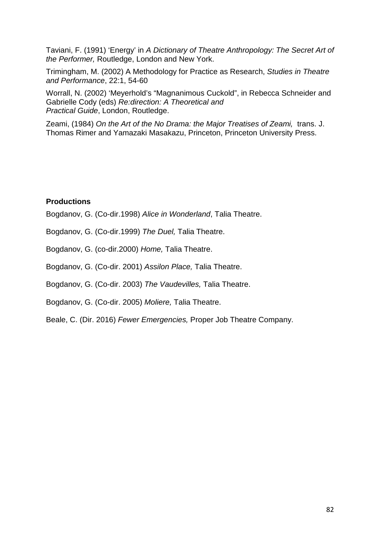Taviani, F. (1991) 'Energy' in *A Dictionary of Theatre Anthropology: The Secret Art of the Performer,* Routledge, London and New York.

Trimingham, M. (2002) A Methodology for Practice as Research, *Studies in Theatre and Performance*, 22:1, 54-60

Worrall, N. (2002) 'Meyerhold's "Magnanimous Cuckold", in Rebecca Schneider and Gabrielle Cody (eds) *Re:direction: A Theoretical and Practical Guide*, London, Routledge.

Zeami, (1984) *On the Art of the No Drama: the Major Treatises of Zeami,* trans. J. Thomas Rimer and Yamazaki Masakazu, Princeton, Princeton University Press.

## **Productions**

Bogdanov, G. (Co-dir.1998) *Alice in Wonderland*, Talia Theatre.

Bogdanov, G. (Co-dir.1999) *The Duel,* Talia Theatre.

Bogdanov, G. (co-dir.2000) *Home,* Talia Theatre.

Bogdanov, G. (Co-dir. 2001) *Assilon Place,* Talia Theatre.

Bogdanov, G. (Co-dir. 2003) *The Vaudevilles,* Talia Theatre.

Bogdanov, G. (Co-dir. 2005) *Moliere,* Talia Theatre.

Beale, C. (Dir. 2016) *Fewer Emergencies,* Proper Job Theatre Company.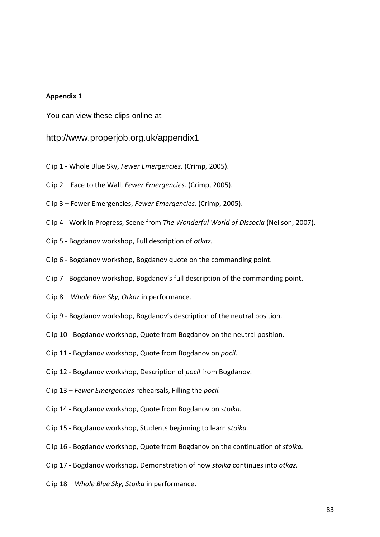#### **Appendix 1**

You can view these clips online at:

## <http://www.properjob.org.uk/appendix1>

- Clip 1 Whole Blue Sky, *Fewer Emergencies.* (Crimp, 2005).
- Clip 2 Face to the Wall, *Fewer Emergencies.* (Crimp, 2005).
- Clip 3 Fewer Emergencies, *Fewer Emergencies.* (Crimp, 2005).
- Clip 4 Work in Progress, Scene from *The Wonderful World of Dissocia* (Neilson, 2007).
- Clip 5 Bogdanov workshop, Full description of *otkaz.*
- Clip 6 Bogdanov workshop, Bogdanov quote on the commanding point.
- Clip 7 Bogdanov workshop, Bogdanov's full description of the commanding point.
- Clip 8 *Whole Blue Sky, Otkaz* in performance.
- Clip 9 Bogdanov workshop, Bogdanov's description of the neutral position.
- Clip 10 Bogdanov workshop, Quote from Bogdanov on the neutral position.
- Clip 11 Bogdanov workshop, Quote from Bogdanov on *pocil.*
- Clip 12 Bogdanov workshop, Description of *pocil* from Bogdanov.
- Clip 13 *Fewer Emergencies* rehearsals, Filling the *pocil.*
- Clip 14 Bogdanov workshop, Quote from Bogdanov on *stoika.*
- Clip 15 Bogdanov workshop, Students beginning to learn *stoika.*
- Clip 16 Bogdanov workshop, Quote from Bogdanov on the continuation of *stoika.*
- Clip 17 Bogdanov workshop, Demonstration of how *stoika* continues into *otkaz.*
- Clip 18 *Whole Blue Sky, Stoika* in performance.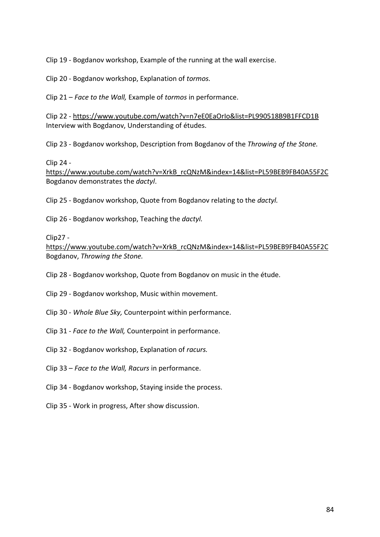Clip 19 - Bogdanov workshop, Example of the running at the wall exercise.

Clip 20 - Bogdanov workshop, Explanation of *tormos.*

Clip 21 – *Face to the Wall,* Example of *tormos* in performance.

Clip 22 - <https://www.youtube.com/watch?v=n7eE0EaOrIo&list=PL990518B9B1FFCD1B> Interview with Bogdanov, Understanding of études.

Clip 23 - Bogdanov workshop, Description from Bogdanov of the *Throwing of the Stone.*

Clip 24 -

[https://www.youtube.com/watch?v=XrkB\\_rcQNzM&index=14&list=PL59BEB9FB40A55F2C](https://www.youtube.com/watch?v=XrkB_rcQNzM&index=14&list=PL59BEB9FB40A55F2C) Bogdanov demonstrates the *dactyl*.

Clip 25 - Bogdanov workshop, Quote from Bogdanov relating to the *dactyl.*

Clip 26 - Bogdanov workshop, Teaching the *dactyl.*

Clip27 -

[https://www.youtube.com/watch?v=XrkB\\_rcQNzM&index=14&list=PL59BEB9FB40A55F2C](https://www.youtube.com/watch?v=XrkB_rcQNzM&index=14&list=PL59BEB9FB40A55F2C) Bogdanov, *Throwing the Stone.*

Clip 28 - Bogdanov workshop, Quote from Bogdanov on music in the étude.

Clip 29 - Bogdanov workshop, Music within movement.

Clip 30 - *Whole Blue Sky,* Counterpoint within performance.

Clip 31 - *Face to the Wall,* Counterpoint in performance.

Clip 32 - Bogdanov workshop, Explanation of *racurs.*

Clip 33 – *Face to the Wall, Racurs* in performance.

Clip 34 - Bogdanov workshop, Staying inside the process.

Clip 35 - Work in progress, After show discussion.